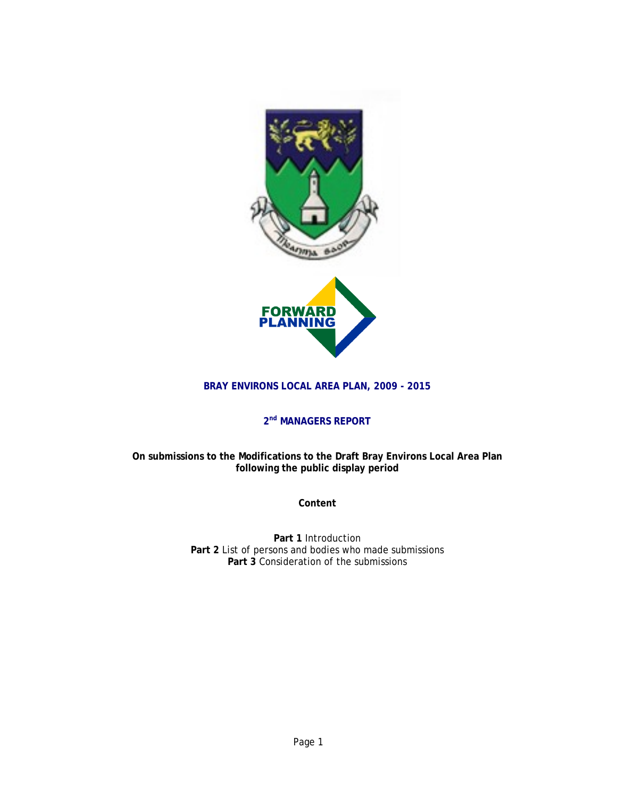

## **BRAY ENVIRONS LOCAL AREA PLAN, 2009 - 2015**

# **2nd MANAGERS REPORT**

## **On submissions to the Modifications to the Draft Bray Environs Local Area Plan following the public display period**

**Content** 

**Part 1** Introduction **Part 2** List of persons and bodies who made submissions **Part 3** Consideration of the submissions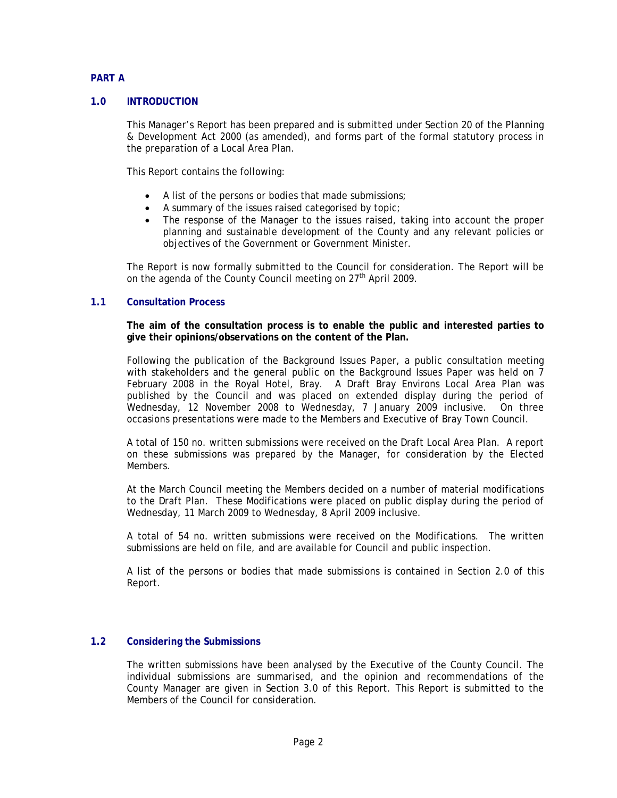## **PART A**

### **1.0 INTRODUCTION**

This Manager's Report has been prepared and is submitted under Section 20 of the Planning & Development Act 2000 (as amended), and forms part of the formal statutory process in the preparation of a Local Area Plan.

This Report contains the following:

- A list of the persons or bodies that made submissions;
- A summary of the issues raised categorised by topic;
- The response of the Manager to the issues raised, taking into account the proper planning and sustainable development of the County and any relevant policies or objectives of the Government or Government Minister.

The Report is now formally submitted to the Council for consideration. The Report will be on the agenda of the County Council meeting on 27<sup>th</sup> April 2009.

#### **1.1 Consultation Process**

**The aim of the consultation process is to enable the public and interested parties to give their opinions/observations on the content of the Plan.** 

Following the publication of the Background Issues Paper, a public consultation meeting with stakeholders and the general public on the Background Issues Paper was held on 7 February 2008 in the Royal Hotel, Bray. A Draft Bray Environs Local Area Plan was published by the Council and was placed on extended display during the period of Wednesday, 12 November 2008 to Wednesday, 7 January 2009 inclusive. On three occasions presentations were made to the Members and Executive of Bray Town Council.

A total of 150 no. written submissions were received on the Draft Local Area Plan. A report on these submissions was prepared by the Manager, for consideration by the Elected Members.

At the March Council meeting the Members decided on a number of material modifications to the Draft Plan. These Modifications were placed on public display during the period of Wednesday, 11 March 2009 to Wednesday, 8 April 2009 inclusive.

A total of 54 no. written submissions were received on the Modifications. The written submissions are held on file, and are available for Council and public inspection.

A list of the persons or bodies that made submissions is contained in Section 2.0 of this Report.

#### **1.2 Considering the Submissions**

The written submissions have been analysed by the Executive of the County Council. The individual submissions are summarised, and the opinion and recommendations of the County Manager are given in Section 3.0 of this Report. This Report is submitted to the Members of the Council for consideration.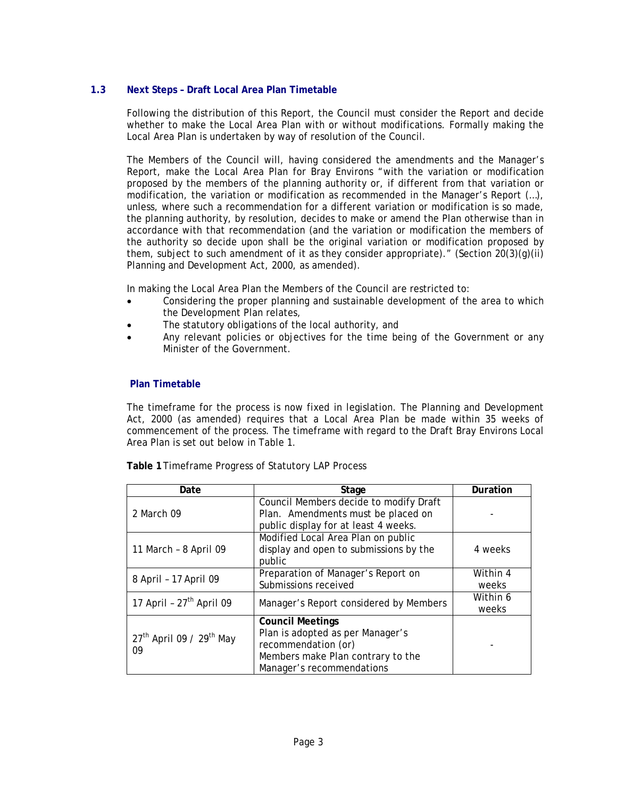## **1.3 Next Steps – Draft Local Area Plan Timetable**

Following the distribution of this Report, the Council must consider the Report and decide whether to make the Local Area Plan with or without modifications. Formally making the Local Area Plan is undertaken by way of resolution of the Council.

The Members of the Council will, having considered the amendments and the Manager's Report, make the Local Area Plan for Bray Environs "with the variation or modification proposed by the members of the planning authority or, if different from that variation or modification, the variation or modification as recommended in the Manager's Report (…), unless, where such a recommendation for a different variation or modification is so made, the planning authority, by resolution, decides to make or amend the Plan otherwise than in accordance with that recommendation (and the variation or modification the members of the authority so decide upon shall be the original variation or modification proposed by them, subject to such amendment of it as they consider appropriate)." (Section  $20(3)(g)(ii)$ Planning and Development Act, 2000, as amended).

In making the Local Area Plan the Members of the Council are restricted to:

- Considering the proper planning and sustainable development of the area to which the Development Plan relates,
- The statutory obligations of the local authority, and
- Any relevant policies or objectives for the time being of the Government or any Minister of the Government.

#### **Plan Timetable**

The timeframe for the process is now fixed in legislation. The Planning and Development Act, 2000 (as amended) requires that a Local Area Plan be made within 35 weeks of commencement of the process. The timeframe with regard to the Draft Bray Environs Local Area Plan is set out below in Table 1.

| Date                                         | Stage                                                                                                                                                | Duration          |
|----------------------------------------------|------------------------------------------------------------------------------------------------------------------------------------------------------|-------------------|
| 2 March 09                                   | Council Members decide to modify Draft<br>Plan. Amendments must be placed on<br>public display for at least 4 weeks.                                 |                   |
| 11 March - 8 April 09                        | Modified Local Area Plan on public<br>display and open to submissions by the<br>public                                                               | 4 weeks           |
| 8 April - 17 April 09                        | Preparation of Manager's Report on<br>Submissions received                                                                                           | Within 4<br>weeks |
| 17 April - $27th$ April 09                   | Manager's Report considered by Members                                                                                                               | Within 6<br>weeks |
| $27th$ April 09 / 29 <sup>th</sup> May<br>09 | <b>Council Meetings</b><br>Plan is adopted as per Manager's<br>recommendation (or)<br>Members make Plan contrary to the<br>Manager's recommendations |                   |

**Table 1** Timeframe Progress of Statutory LAP Process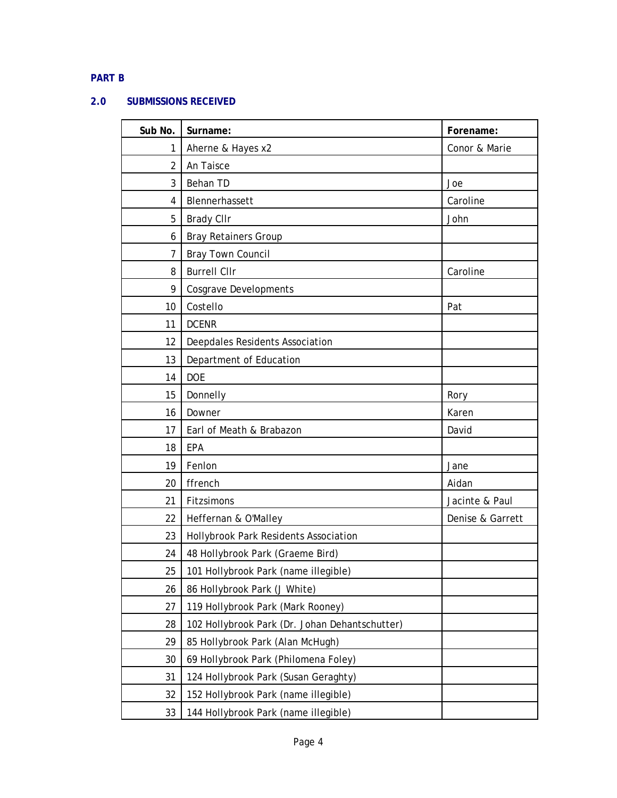# **PART B**

## **2.0 SUBMISSIONS RECEIVED**

| Sub No. | Surname:                                       | Forename:        |
|---------|------------------------------------------------|------------------|
| 1       | Aherne & Hayes x2                              | Conor & Marie    |
| 2       | An Taisce                                      |                  |
| 3       | Behan TD                                       | Joe              |
| 4       | Blennerhassett                                 | Caroline         |
| 5       | <b>Brady CIIr</b>                              | John             |
| 6       | <b>Bray Retainers Group</b>                    |                  |
| 7       | Bray Town Council                              |                  |
| 8       | <b>Burrell Cllr</b>                            | Caroline         |
| 9       | <b>Cosgrave Developments</b>                   |                  |
| 10      | Costello                                       | Pat              |
| 11      | <b>DCENR</b>                                   |                  |
| 12      | Deepdales Residents Association                |                  |
| 13      | Department of Education                        |                  |
| 14      | <b>DOE</b>                                     |                  |
| 15      | Donnelly                                       | Rory             |
| 16      | Downer                                         | Karen            |
| 17      | Earl of Meath & Brabazon                       | David            |
| 18      | EPA                                            |                  |
| 19      | Fenlon                                         | Jane             |
| 20      | ffrench                                        | Aidan            |
| 21      | Fitzsimons                                     | Jacinte & Paul   |
| 22      | Heffernan & O'Malley                           | Denise & Garrett |
| 23      | Hollybrook Park Residents Association          |                  |
| 24      | 48 Hollybrook Park (Graeme Bird)               |                  |
| 25      | 101 Hollybrook Park (name illegible)           |                  |
| 26      | 86 Hollybrook Park (J White)                   |                  |
| 27      | 119 Hollybrook Park (Mark Rooney)              |                  |
| 28      | 102 Hollybrook Park (Dr. Johan Dehantschutter) |                  |
| 29      | 85 Hollybrook Park (Alan McHugh)               |                  |
| 30      | 69 Hollybrook Park (Philomena Foley)           |                  |
| 31      | 124 Hollybrook Park (Susan Geraghty)           |                  |
| 32      | 152 Hollybrook Park (name illegible)           |                  |
| 33      | 144 Hollybrook Park (name illegible)           |                  |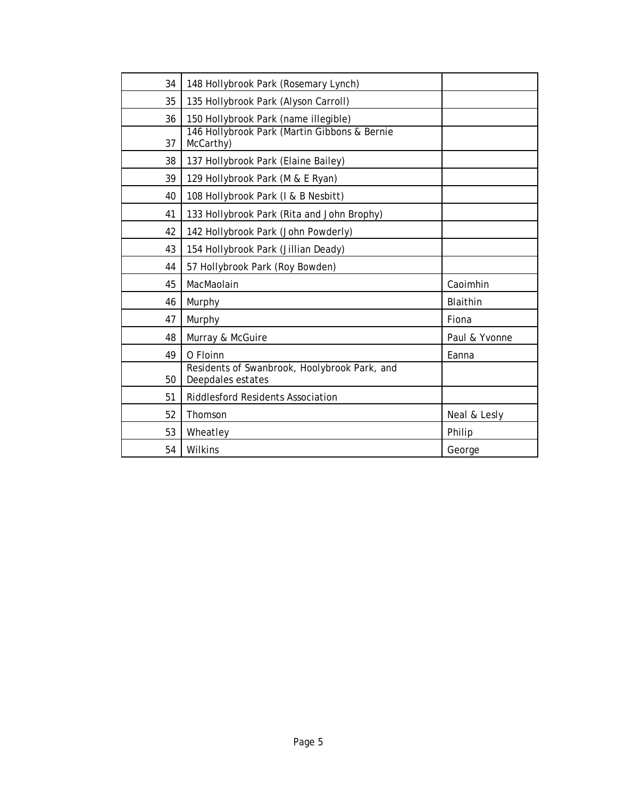| 34 | 148 Hollybrook Park (Rosemary Lynch)                              |               |
|----|-------------------------------------------------------------------|---------------|
| 35 | 135 Hollybrook Park (Alyson Carroll)                              |               |
| 36 | 150 Hollybrook Park (name illegible)                              |               |
| 37 | 146 Hollybrook Park (Martin Gibbons & Bernie<br>McCarthy)         |               |
| 38 | 137 Hollybrook Park (Elaine Bailey)                               |               |
| 39 | 129 Hollybrook Park (M & E Ryan)                                  |               |
| 40 | 108 Hollybrook Park (I & B Nesbitt)                               |               |
| 41 | 133 Hollybrook Park (Rita and John Brophy)                        |               |
| 42 | 142 Hollybrook Park (John Powderly)                               |               |
| 43 | 154 Hollybrook Park (Jillian Deady)                               |               |
| 44 | 57 Hollybrook Park (Roy Bowden)                                   |               |
| 45 | MacMaolain                                                        | Caoimhin      |
| 46 | Murphy                                                            | Blaithin      |
| 47 | Murphy                                                            | Fiona         |
| 48 | Murray & McGuire                                                  | Paul & Yvonne |
| 49 | O Floinn                                                          | Eanna         |
| 50 | Residents of Swanbrook, Hoolybrook Park, and<br>Deepdales estates |               |
| 51 | <b>Riddlesford Residents Association</b>                          |               |
| 52 | Thomson                                                           | Neal & Lesly  |
| 53 | Wheatley                                                          | Philip        |
| 54 | Wilkins                                                           | George        |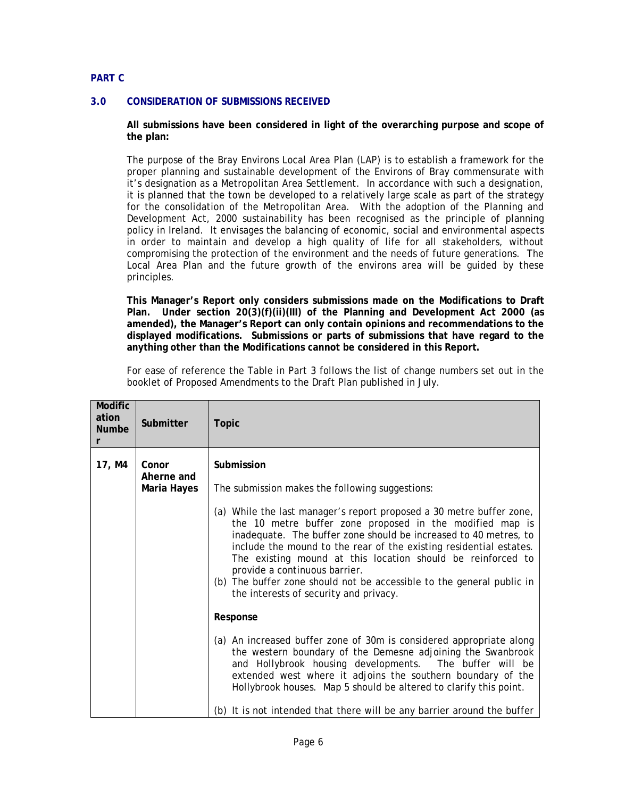## **PART C**

### **3.0 CONSIDERATION OF SUBMISSIONS RECEIVED**

**All submissions have been considered in light of the overarching purpose and scope of the plan:** 

The purpose of the Bray Environs Local Area Plan (LAP) is to establish a framework for the proper planning and sustainable development of the Environs of Bray commensurate with it's designation as a Metropolitan Area Settlement. In accordance with such a designation, it is planned that the town be developed to a relatively large scale as part of the strategy for the consolidation of the Metropolitan Area. With the adoption of the Planning and Development Act, 2000 sustainability has been recognised as the principle of planning policy in Ireland. It envisages the balancing of economic, social and environmental aspects in order to maintain and develop a high quality of life for all stakeholders, without compromising the protection of the environment and the needs of future generations. The Local Area Plan and the future growth of the environs area will be guided by these principles.

**This Manager's Report only considers submissions made on the Modifications to Draft Plan. Under section 20(3)(f)(ii)(III) of the Planning and Development Act 2000 (as amended), the Manager's Report can only contain opinions and recommendations to the displayed modifications. Submissions or parts of submissions that have regard to the anything other than the Modifications cannot be considered in this Report.** 

For ease of reference the Table in Part 3 follows the list of change numbers set out in the booklet of Proposed Amendments to the Draft Plan published in July.

| <b>Modific</b><br>ation<br><b>Numbe</b><br>r | Submitter                          | <b>Topic</b>                                                                                                                                                                                                                                                                                                                                                                                                                                                                                                                                                                                                                                                                                                                                                                                                                                                                                                                                                                               |
|----------------------------------------------|------------------------------------|--------------------------------------------------------------------------------------------------------------------------------------------------------------------------------------------------------------------------------------------------------------------------------------------------------------------------------------------------------------------------------------------------------------------------------------------------------------------------------------------------------------------------------------------------------------------------------------------------------------------------------------------------------------------------------------------------------------------------------------------------------------------------------------------------------------------------------------------------------------------------------------------------------------------------------------------------------------------------------------------|
| 17, M4                                       | Conor<br>Aherne and<br>Maria Hayes | Submission<br>The submission makes the following suggestions:<br>(a) While the last manager's report proposed a 30 metre buffer zone,<br>the 10 metre buffer zone proposed in the modified map is<br>inadequate. The buffer zone should be increased to 40 metres, to<br>include the mound to the rear of the existing residential estates.<br>The existing mound at this location should be reinforced to<br>provide a continuous barrier.<br>(b) The buffer zone should not be accessible to the general public in<br>the interests of security and privacy.<br>Response<br>(a) An increased buffer zone of 30m is considered appropriate along<br>the western boundary of the Demesne adjoining the Swanbrook<br>and Hollybrook housing developments. The buffer will be<br>extended west where it adjoins the southern boundary of the<br>Hollybrook houses. Map 5 should be altered to clarify this point.<br>(b) It is not intended that there will be any barrier around the buffer |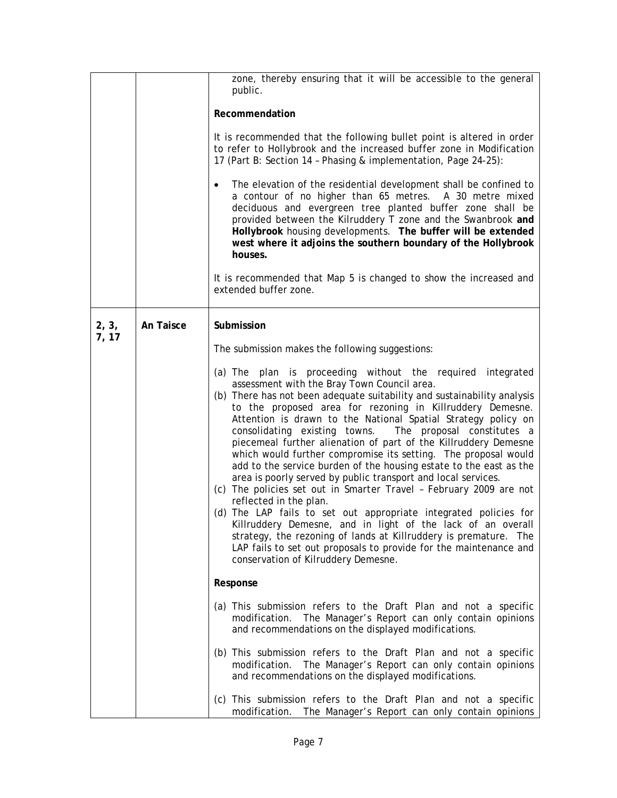|       |           | zone, thereby ensuring that it will be accessible to the general<br>public.                                                                                                                                                                                                                                                                                                                                                                                                                                                                                                                                                                                                                                                                                                                                                                                                                                                                                                                                                                                                   |  |
|-------|-----------|-------------------------------------------------------------------------------------------------------------------------------------------------------------------------------------------------------------------------------------------------------------------------------------------------------------------------------------------------------------------------------------------------------------------------------------------------------------------------------------------------------------------------------------------------------------------------------------------------------------------------------------------------------------------------------------------------------------------------------------------------------------------------------------------------------------------------------------------------------------------------------------------------------------------------------------------------------------------------------------------------------------------------------------------------------------------------------|--|
|       |           | Recommendation                                                                                                                                                                                                                                                                                                                                                                                                                                                                                                                                                                                                                                                                                                                                                                                                                                                                                                                                                                                                                                                                |  |
|       |           | It is recommended that the following bullet point is altered in order<br>to refer to Hollybrook and the increased buffer zone in Modification<br>17 (Part B: Section 14 - Phasing & implementation, Page 24-25):                                                                                                                                                                                                                                                                                                                                                                                                                                                                                                                                                                                                                                                                                                                                                                                                                                                              |  |
|       |           | The elevation of the residential development shall be confined to<br>a contour of no higher than 65 metres. A 30 metre mixed<br>deciduous and evergreen tree planted buffer zone shall be<br>provided between the Kilruddery T zone and the Swanbrook and<br>Hollybrook housing developments. The buffer will be extended<br>west where it adjoins the southern boundary of the Hollybrook<br>houses.                                                                                                                                                                                                                                                                                                                                                                                                                                                                                                                                                                                                                                                                         |  |
|       |           | It is recommended that Map 5 is changed to show the increased and<br>extended buffer zone.                                                                                                                                                                                                                                                                                                                                                                                                                                                                                                                                                                                                                                                                                                                                                                                                                                                                                                                                                                                    |  |
| 2, 3, | An Taisce | Submission                                                                                                                                                                                                                                                                                                                                                                                                                                                                                                                                                                                                                                                                                                                                                                                                                                                                                                                                                                                                                                                                    |  |
| 7, 17 |           | The submission makes the following suggestions:                                                                                                                                                                                                                                                                                                                                                                                                                                                                                                                                                                                                                                                                                                                                                                                                                                                                                                                                                                                                                               |  |
|       |           | (a) The plan is proceeding without the required integrated<br>assessment with the Bray Town Council area.<br>(b) There has not been adequate suitability and sustainability analysis<br>to the proposed area for rezoning in Killruddery Demesne.<br>Attention is drawn to the National Spatial Strategy policy on<br>consolidating existing towns. The proposal constitutes a<br>piecemeal further alienation of part of the Killruddery Demesne<br>which would further compromise its setting. The proposal would<br>add to the service burden of the housing estate to the east as the<br>area is poorly served by public transport and local services.<br>(c) The policies set out in Smarter Travel - February 2009 are not<br>reflected in the plan.<br>(d) The LAP fails to set out appropriate integrated policies for<br>Killruddery Demesne, and in light of the lack of an overall<br>strategy, the rezoning of lands at Killruddery is premature. The<br>LAP fails to set out proposals to provide for the maintenance and<br>conservation of Kilruddery Demesne. |  |
|       |           | Response                                                                                                                                                                                                                                                                                                                                                                                                                                                                                                                                                                                                                                                                                                                                                                                                                                                                                                                                                                                                                                                                      |  |
|       |           | (a) This submission refers to the Draft Plan and not a specific<br>modification. The Manager's Report can only contain opinions<br>and recommendations on the displayed modifications.                                                                                                                                                                                                                                                                                                                                                                                                                                                                                                                                                                                                                                                                                                                                                                                                                                                                                        |  |
|       |           | (b) This submission refers to the Draft Plan and not a specific<br>modification. The Manager's Report can only contain opinions<br>and recommendations on the displayed modifications.                                                                                                                                                                                                                                                                                                                                                                                                                                                                                                                                                                                                                                                                                                                                                                                                                                                                                        |  |
|       |           | (c) This submission refers to the Draft Plan and not a specific<br>modification. The Manager's Report can only contain opinions                                                                                                                                                                                                                                                                                                                                                                                                                                                                                                                                                                                                                                                                                                                                                                                                                                                                                                                                               |  |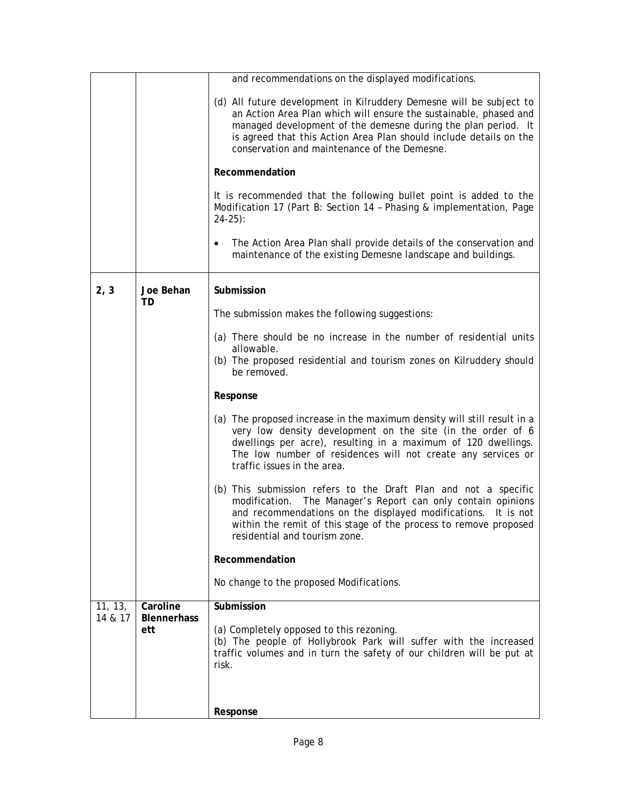|                    |                                | and recommendations on the displayed modifications.                                                                                                                                                                                                                                                                             |  |  |
|--------------------|--------------------------------|---------------------------------------------------------------------------------------------------------------------------------------------------------------------------------------------------------------------------------------------------------------------------------------------------------------------------------|--|--|
|                    |                                | (d) All future development in Kilruddery Demesne will be subject to<br>an Action Area Plan which will ensure the sustainable, phased and<br>managed development of the demesne during the plan period. It<br>is agreed that this Action Area Plan should include details on the<br>conservation and maintenance of the Demesne. |  |  |
|                    |                                | Recommendation                                                                                                                                                                                                                                                                                                                  |  |  |
|                    |                                | It is recommended that the following bullet point is added to the<br>Modification 17 (Part B: Section 14 - Phasing & implementation, Page<br>$24-25$ :                                                                                                                                                                          |  |  |
|                    |                                | The Action Area Plan shall provide details of the conservation and<br>$\bullet$<br>maintenance of the existing Demesne landscape and buildings.                                                                                                                                                                                 |  |  |
| 2, 3               | Joe Behan                      | Submission                                                                                                                                                                                                                                                                                                                      |  |  |
|                    | TD                             | The submission makes the following suggestions:                                                                                                                                                                                                                                                                                 |  |  |
|                    |                                | (a) There should be no increase in the number of residential units<br>allowable.<br>(b) The proposed residential and tourism zones on Kilruddery should<br>be removed.                                                                                                                                                          |  |  |
|                    |                                | Response                                                                                                                                                                                                                                                                                                                        |  |  |
|                    |                                | (a) The proposed increase in the maximum density will still result in a<br>very low density development on the site (in the order of 6<br>dwellings per acre), resulting in a maximum of 120 dwellings.<br>The low number of residences will not create any services or<br>traffic issues in the area.                          |  |  |
|                    |                                | (b) This submission refers to the Draft Plan and not a specific<br>modification. The Manager's Report can only contain opinions<br>and recommendations on the displayed modifications. It is not<br>within the remit of this stage of the process to remove proposed<br>residential and tourism zone.                           |  |  |
|                    |                                | Recommendation                                                                                                                                                                                                                                                                                                                  |  |  |
|                    |                                | No change to the proposed Modifications.                                                                                                                                                                                                                                                                                        |  |  |
| 11, 13,<br>14 & 17 | Caroline<br><b>Blennerhass</b> | Submission                                                                                                                                                                                                                                                                                                                      |  |  |
|                    | ett                            | (a) Completely opposed to this rezoning.<br>(b) The people of Hollybrook Park will suffer with the increased<br>traffic volumes and in turn the safety of our children will be put at<br>risk.                                                                                                                                  |  |  |
|                    |                                | Response                                                                                                                                                                                                                                                                                                                        |  |  |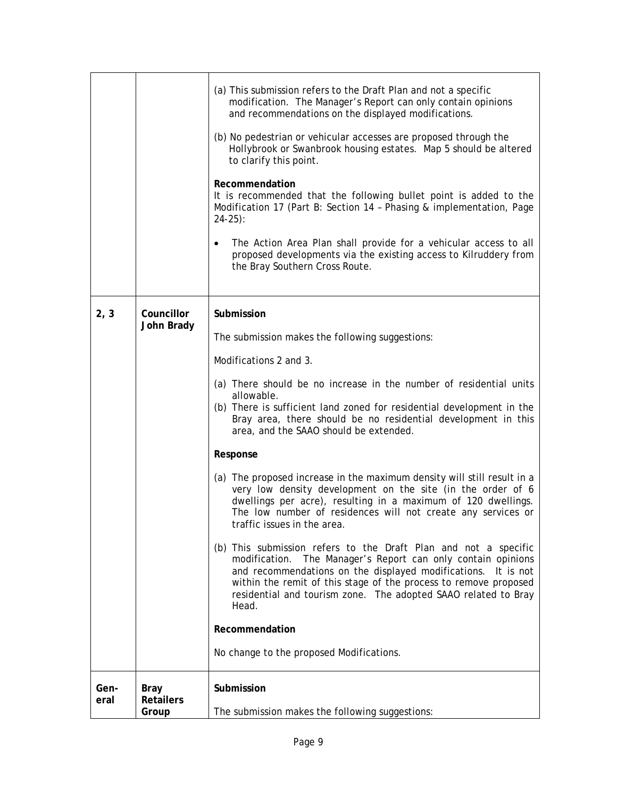|              |                                   | (a) This submission refers to the Draft Plan and not a specific<br>modification. The Manager's Report can only contain opinions<br>and recommendations on the displayed modifications.<br>(b) No pedestrian or vehicular accesses are proposed through the<br>Hollybrook or Swanbrook housing estates. Map 5 should be altered<br>to clarify this point.<br>Recommendation<br>It is recommended that the following bullet point is added to the<br>Modification 17 (Part B: Section 14 - Phasing & implementation, Page<br>$24-25$ :<br>The Action Area Plan shall provide for a vehicular access to all<br>proposed developments via the existing access to Kilruddery from<br>the Bray Southern Cross Route.                                                                                                                                                                                                                                                                                                                                                                                            |
|--------------|-----------------------------------|-----------------------------------------------------------------------------------------------------------------------------------------------------------------------------------------------------------------------------------------------------------------------------------------------------------------------------------------------------------------------------------------------------------------------------------------------------------------------------------------------------------------------------------------------------------------------------------------------------------------------------------------------------------------------------------------------------------------------------------------------------------------------------------------------------------------------------------------------------------------------------------------------------------------------------------------------------------------------------------------------------------------------------------------------------------------------------------------------------------|
| 2, 3         | Councillor<br>John Brady          | Submission<br>The submission makes the following suggestions:<br>Modifications 2 and 3.<br>(a) There should be no increase in the number of residential units<br>allowable.<br>(b) There is sufficient land zoned for residential development in the<br>Bray area, there should be no residential development in this<br>area, and the SAAO should be extended.<br>Response<br>(a) The proposed increase in the maximum density will still result in a<br>very low density development on the site (in the order of 6<br>dwellings per acre), resulting in a maximum of 120 dwellings.<br>The low number of residences will not create any services or<br>traffic issues in the area.<br>(b) This submission refers to the Draft Plan and not a specific<br>modification. The Manager's Report can only contain opinions<br>and recommendations on the displayed modifications.<br>It is not<br>within the remit of this stage of the process to remove proposed<br>residential and tourism zone. The adopted SAAO related to Bray<br>Head.<br>Recommendation<br>No change to the proposed Modifications. |
| Gen-<br>eral | Bray<br><b>Retailers</b><br>Group | Submission<br>The submission makes the following suggestions:                                                                                                                                                                                                                                                                                                                                                                                                                                                                                                                                                                                                                                                                                                                                                                                                                                                                                                                                                                                                                                             |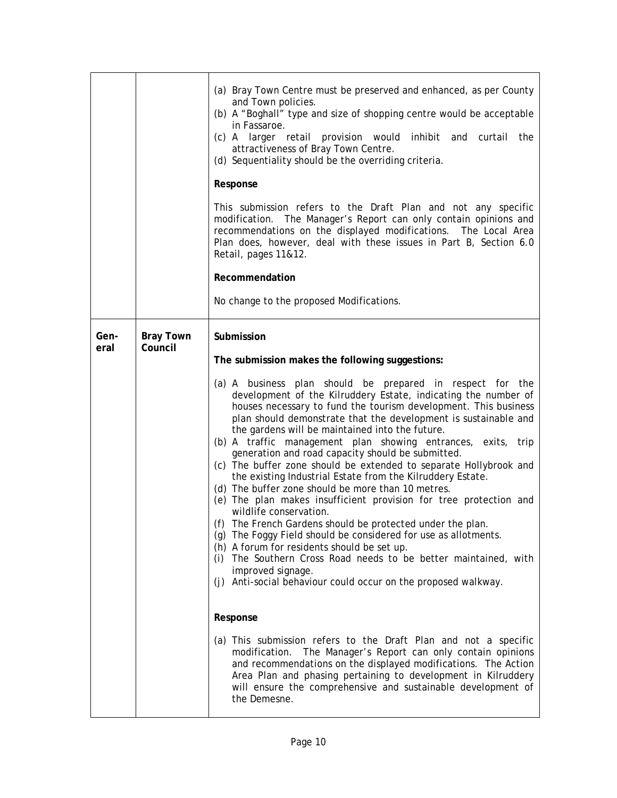|              |                             | (a) Bray Town Centre must be preserved and enhanced, as per County<br>and Town policies.<br>(b) A "Boghall" type and size of shopping centre would be acceptable<br>in Fassaroe.<br>(c) A larger retail provision would inhibit and curtail<br>the<br>attractiveness of Bray Town Centre.<br>(d) Sequentiality should be the overriding criteria.<br>Response<br>This submission refers to the Draft Plan and not any specific<br>modification. The Manager's Report can only contain opinions and<br>recommendations on the displayed modifications. The Local Area<br>Plan does, however, deal with these issues in Part B, Section 6.0<br>Retail, pages 11&12.<br>Recommendation<br>No change to the proposed Modifications.                                                                                                                                                                                                                                                                                                                                                                                                                                                                                                                                                                                                                                                                                                                                                                                |
|--------------|-----------------------------|----------------------------------------------------------------------------------------------------------------------------------------------------------------------------------------------------------------------------------------------------------------------------------------------------------------------------------------------------------------------------------------------------------------------------------------------------------------------------------------------------------------------------------------------------------------------------------------------------------------------------------------------------------------------------------------------------------------------------------------------------------------------------------------------------------------------------------------------------------------------------------------------------------------------------------------------------------------------------------------------------------------------------------------------------------------------------------------------------------------------------------------------------------------------------------------------------------------------------------------------------------------------------------------------------------------------------------------------------------------------------------------------------------------------------------------------------------------------------------------------------------------|
| Gen-<br>eral | <b>Bray Town</b><br>Council | Submission<br>The submission makes the following suggestions:<br>(a) A business plan should be prepared in respect for the<br>development of the Kilruddery Estate, indicating the number of<br>houses necessary to fund the tourism development. This business<br>plan should demonstrate that the development is sustainable and<br>the gardens will be maintained into the future.<br>(b) A traffic management plan showing entrances, exits, trip<br>generation and road capacity should be submitted.<br>(c) The buffer zone should be extended to separate Hollybrook and<br>the existing Industrial Estate from the Kilruddery Estate.<br>(d) The buffer zone should be more than 10 metres.<br>(e) The plan makes insufficient provision for tree protection and<br>wildlife conservation.<br>(f) The French Gardens should be protected under the plan.<br>(g) The Foggy Field should be considered for use as allotments.<br>(h) A forum for residents should be set up.<br>(i) The Southern Cross Road needs to be better maintained, with<br>improved signage.<br>(j) Anti-social behaviour could occur on the proposed walkway.<br>Response<br>(a) This submission refers to the Draft Plan and not a specific<br>modification. The Manager's Report can only contain opinions<br>and recommendations on the displayed modifications. The Action<br>Area Plan and phasing pertaining to development in Kilruddery<br>will ensure the comprehensive and sustainable development of<br>the Demesne. |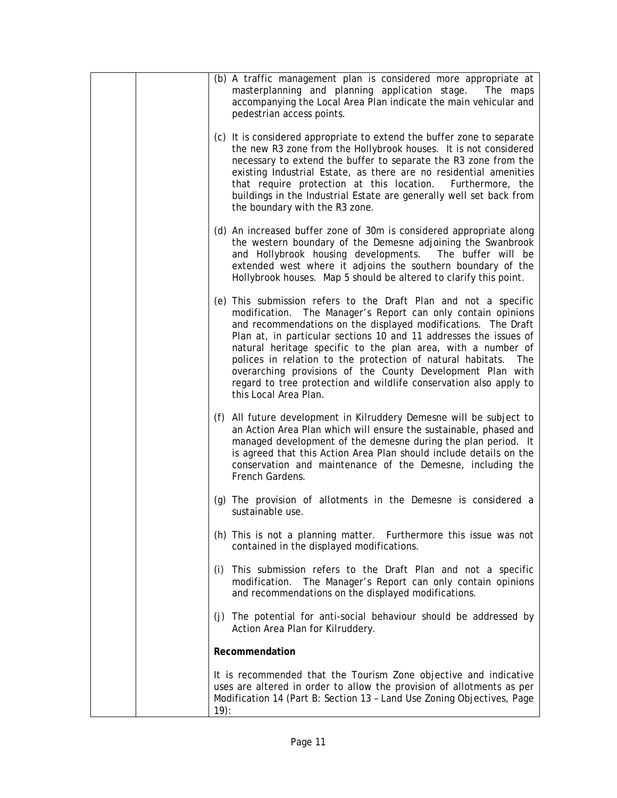|         | (b) A traffic management plan is considered more appropriate at<br>masterplanning and planning application stage. The maps<br>accompanying the Local Area Plan indicate the main vehicular and<br>pedestrian access points.                                                                                                                                                                                                                                                                                                                                         |
|---------|---------------------------------------------------------------------------------------------------------------------------------------------------------------------------------------------------------------------------------------------------------------------------------------------------------------------------------------------------------------------------------------------------------------------------------------------------------------------------------------------------------------------------------------------------------------------|
|         | (c) It is considered appropriate to extend the buffer zone to separate<br>the new R3 zone from the Hollybrook houses. It is not considered<br>necessary to extend the buffer to separate the R3 zone from the<br>existing Industrial Estate, as there are no residential amenities<br>that require protection at this location. Furthermore, the<br>buildings in the Industrial Estate are generally well set back from<br>the boundary with the R3 zone.                                                                                                           |
|         | (d) An increased buffer zone of 30m is considered appropriate along<br>the western boundary of the Demesne adjoining the Swanbrook<br>and Hollybrook housing developments. The buffer will be<br>extended west where it adjoins the southern boundary of the<br>Hollybrook houses. Map 5 should be altered to clarify this point.                                                                                                                                                                                                                                   |
|         | (e) This submission refers to the Draft Plan and not a specific<br>modification. The Manager's Report can only contain opinions<br>and recommendations on the displayed modifications. The Draft<br>Plan at, in particular sections 10 and 11 addresses the issues of<br>natural heritage specific to the plan area, with a number of<br>polices in relation to the protection of natural habitats. The<br>overarching provisions of the County Development Plan with<br>regard to tree protection and wildlife conservation also apply to<br>this Local Area Plan. |
|         | (f) All future development in Kilruddery Demesne will be subject to<br>an Action Area Plan which will ensure the sustainable, phased and<br>managed development of the demesne during the plan period. It<br>is agreed that this Action Area Plan should include details on the<br>conservation and maintenance of the Demesne, including the<br>French Gardens.                                                                                                                                                                                                    |
|         | (g) The provision of allotments in the Demesne is considered a<br>sustainable use.                                                                                                                                                                                                                                                                                                                                                                                                                                                                                  |
|         | (h) This is not a planning matter. Furthermore this issue was not<br>contained in the displayed modifications.                                                                                                                                                                                                                                                                                                                                                                                                                                                      |
|         | (i) This submission refers to the Draft Plan and not a specific<br>modification. The Manager's Report can only contain opinions<br>and recommendations on the displayed modifications.                                                                                                                                                                                                                                                                                                                                                                              |
|         | (j) The potential for anti-social behaviour should be addressed by<br>Action Area Plan for Kilruddery.                                                                                                                                                                                                                                                                                                                                                                                                                                                              |
|         | Recommendation                                                                                                                                                                                                                                                                                                                                                                                                                                                                                                                                                      |
| $19)$ : | It is recommended that the Tourism Zone objective and indicative<br>uses are altered in order to allow the provision of allotments as per<br>Modification 14 (Part B: Section 13 - Land Use Zoning Objectives, Page                                                                                                                                                                                                                                                                                                                                                 |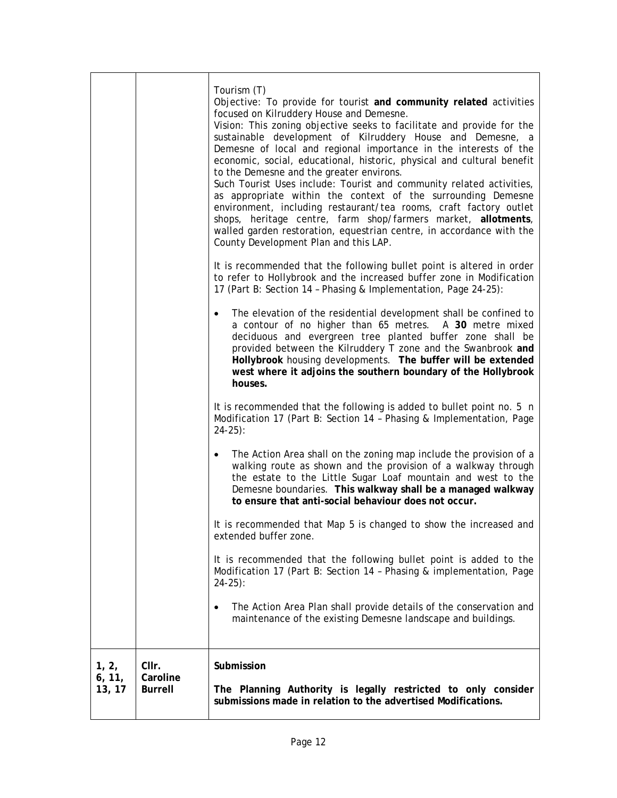|                           |                                     | Tourism (T)<br>Objective: To provide for tourist and community related activities<br>focused on Kilruddery House and Demesne.<br>Vision: This zoning objective seeks to facilitate and provide for the<br>sustainable development of Kilruddery House and Demesne, a<br>Demesne of local and regional importance in the interests of the<br>economic, social, educational, historic, physical and cultural benefit<br>to the Demesne and the greater environs.<br>Such Tourist Uses include: Tourist and community related activities,<br>as appropriate within the context of the surrounding Demesne<br>environment, including restaurant/tea rooms, craft factory outlet<br>shops, heritage centre, farm shop/farmers market, allotments,<br>walled garden restoration, equestrian centre, in accordance with the<br>County Development Plan and this LAP.<br>It is recommended that the following bullet point is altered in order |  |
|---------------------------|-------------------------------------|----------------------------------------------------------------------------------------------------------------------------------------------------------------------------------------------------------------------------------------------------------------------------------------------------------------------------------------------------------------------------------------------------------------------------------------------------------------------------------------------------------------------------------------------------------------------------------------------------------------------------------------------------------------------------------------------------------------------------------------------------------------------------------------------------------------------------------------------------------------------------------------------------------------------------------------|--|
|                           |                                     | to refer to Hollybrook and the increased buffer zone in Modification<br>17 (Part B: Section 14 - Phasing & Implementation, Page 24-25):                                                                                                                                                                                                                                                                                                                                                                                                                                                                                                                                                                                                                                                                                                                                                                                                |  |
|                           |                                     | The elevation of the residential development shall be confined to<br>a contour of no higher than 65 metres. A 30 metre mixed<br>deciduous and evergreen tree planted buffer zone shall be<br>provided between the Kilruddery T zone and the Swanbrook and<br>Hollybrook housing developments. The buffer will be extended<br>west where it adjoins the southern boundary of the Hollybrook<br>houses.                                                                                                                                                                                                                                                                                                                                                                                                                                                                                                                                  |  |
|                           |                                     | It is recommended that the following is added to bullet point no. 5 n<br>Modification 17 (Part B: Section 14 - Phasing & Implementation, Page<br>$24-25$ :                                                                                                                                                                                                                                                                                                                                                                                                                                                                                                                                                                                                                                                                                                                                                                             |  |
|                           |                                     | The Action Area shall on the zoning map include the provision of a<br>$\bullet$<br>walking route as shown and the provision of a walkway through<br>the estate to the Little Sugar Loaf mountain and west to the<br>Demesne boundaries. This walkway shall be a managed walkway<br>to ensure that anti-social behaviour does not occur.                                                                                                                                                                                                                                                                                                                                                                                                                                                                                                                                                                                                |  |
|                           |                                     | It is recommended that Map 5 is changed to show the increased and<br>extended buffer zone.                                                                                                                                                                                                                                                                                                                                                                                                                                                                                                                                                                                                                                                                                                                                                                                                                                             |  |
|                           |                                     | It is recommended that the following bullet point is added to the<br>Modification 17 (Part B: Section 14 - Phasing & implementation, Page<br>$24-25$ :                                                                                                                                                                                                                                                                                                                                                                                                                                                                                                                                                                                                                                                                                                                                                                                 |  |
|                           |                                     | The Action Area Plan shall provide details of the conservation and<br>$\bullet$<br>maintenance of the existing Demesne landscape and buildings.                                                                                                                                                                                                                                                                                                                                                                                                                                                                                                                                                                                                                                                                                                                                                                                        |  |
| 1, 2,<br>6, 11,<br>13, 17 | CIIr.<br>Caroline<br><b>Burrell</b> | Submission<br>The Planning Authority is legally restricted to only consider<br>submissions made in relation to the advertised Modifications.                                                                                                                                                                                                                                                                                                                                                                                                                                                                                                                                                                                                                                                                                                                                                                                           |  |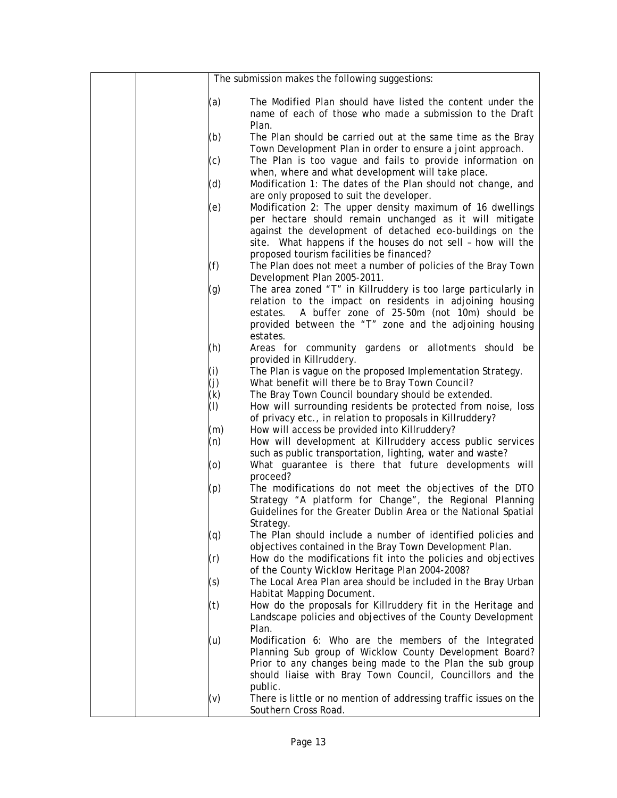|     | The submission makes the following suggestions:                                                                                                                                                                                                              |
|-----|--------------------------------------------------------------------------------------------------------------------------------------------------------------------------------------------------------------------------------------------------------------|
| (a) | The Modified Plan should have listed the content under the<br>name of each of those who made a submission to the Draft<br>Plan.                                                                                                                              |
| (b) | The Plan should be carried out at the same time as the Bray<br>Town Development Plan in order to ensure a joint approach.                                                                                                                                    |
| (c) | The Plan is too vague and fails to provide information on<br>when, where and what development will take place.                                                                                                                                               |
| (d) | Modification 1: The dates of the Plan should not change, and<br>are only proposed to suit the developer.                                                                                                                                                     |
| (e) | Modification 2: The upper density maximum of 16 dwellings<br>per hectare should remain unchanged as it will mitigate<br>against the development of detached eco-buildings on the<br>site. What happens if the houses do not sell - how will the              |
| (f) | proposed tourism facilities be financed?<br>The Plan does not meet a number of policies of the Bray Town<br>Development Plan 2005-2011.                                                                                                                      |
| (g) | The area zoned "T" in Killruddery is too large particularly in<br>relation to the impact on residents in adjoining housing<br>A buffer zone of 25-50m (not 10m) should be<br>estates.<br>provided between the "T" zone and the adjoining housing<br>estates. |
| (h) | Areas for community gardens or allotments should be<br>provided in Killruddery.                                                                                                                                                                              |
| (i) | The Plan is vague on the proposed Implementation Strategy.                                                                                                                                                                                                   |
| (j) | What benefit will there be to Bray Town Council?                                                                                                                                                                                                             |
| (k) | The Bray Town Council boundary should be extended.                                                                                                                                                                                                           |
| (I) | How will surrounding residents be protected from noise, loss<br>of privacy etc., in relation to proposals in Killruddery?                                                                                                                                    |
| (m) | How will access be provided into Killruddery?                                                                                                                                                                                                                |
| (n) | How will development at Killruddery access public services<br>such as public transportation, lighting, water and waste?                                                                                                                                      |
| (o) | What guarantee is there that future developments will<br>proceed?                                                                                                                                                                                            |
| (p) | The modifications do not meet the objectives of the DTO<br>Strategy "A platform for Change", the Regional Planning<br>Guidelines for the Greater Dublin Area or the National Spatial<br>Strategy.                                                            |
| (q) | The Plan should include a number of identified policies and<br>objectives contained in the Bray Town Development Plan.                                                                                                                                       |
| (r) | How do the modifications fit into the policies and objectives<br>of the County Wicklow Heritage Plan 2004-2008?                                                                                                                                              |
| (s) | The Local Area Plan area should be included in the Bray Urban<br>Habitat Mapping Document.                                                                                                                                                                   |
| (t) | How do the proposals for Killruddery fit in the Heritage and<br>Landscape policies and objectives of the County Development<br>Plan.                                                                                                                         |
| (u) | Modification 6: Who are the members of the Integrated<br>Planning Sub group of Wicklow County Development Board?<br>Prior to any changes being made to the Plan the sub group<br>should liaise with Bray Town Council, Councillors and the<br>public.        |
| (v) | There is little or no mention of addressing traffic issues on the<br>Southern Cross Road.                                                                                                                                                                    |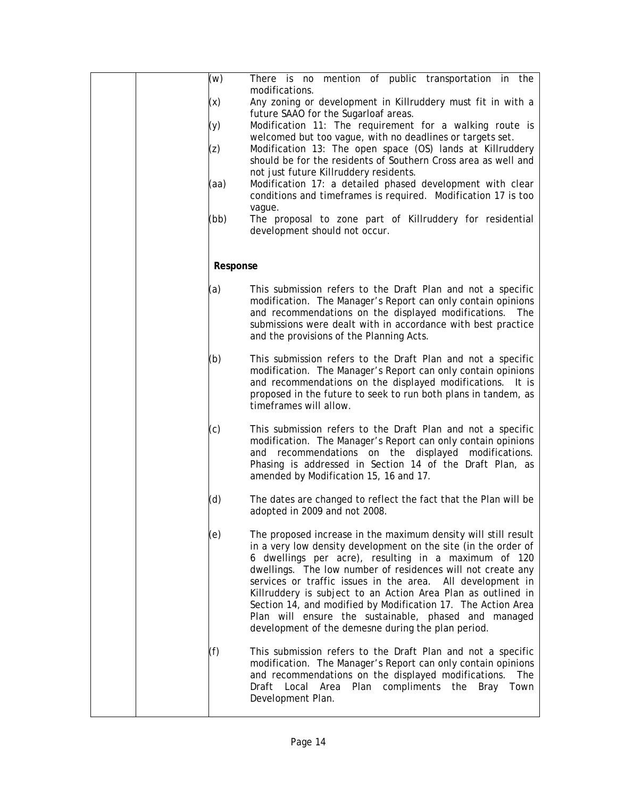| (w)<br>(x)<br>(y)<br>(z)<br>(aa) | There is no mention of public transportation in the<br>modifications.<br>Any zoning or development in Killruddery must fit in with a<br>future SAAO for the Sugarloaf areas.<br>Modification 11: The requirement for a walking route is<br>welcomed but too vague, with no deadlines or targets set.<br>Modification 13: The open space (OS) lands at Killruddery<br>should be for the residents of Southern Cross area as well and<br>not just future Killruddery residents.<br>Modification 17: a detailed phased development with clear<br>conditions and timeframes is required. Modification 17 is too |
|----------------------------------|-------------------------------------------------------------------------------------------------------------------------------------------------------------------------------------------------------------------------------------------------------------------------------------------------------------------------------------------------------------------------------------------------------------------------------------------------------------------------------------------------------------------------------------------------------------------------------------------------------------|
| (bb)                             | vague.<br>The proposal to zone part of Killruddery for residential<br>development should not occur.                                                                                                                                                                                                                                                                                                                                                                                                                                                                                                         |
| Response                         |                                                                                                                                                                                                                                                                                                                                                                                                                                                                                                                                                                                                             |
| (a)                              | This submission refers to the Draft Plan and not a specific<br>modification. The Manager's Report can only contain opinions<br>and recommendations on the displayed modifications.<br>The<br>submissions were dealt with in accordance with best practice<br>and the provisions of the Planning Acts.                                                                                                                                                                                                                                                                                                       |
| (b)                              | This submission refers to the Draft Plan and not a specific<br>modification. The Manager's Report can only contain opinions<br>and recommendations on the displayed modifications. It is<br>proposed in the future to seek to run both plans in tandem, as<br>timeframes will allow.                                                                                                                                                                                                                                                                                                                        |
| (c)                              | This submission refers to the Draft Plan and not a specific<br>modification. The Manager's Report can only contain opinions<br>and recommendations on the displayed modifications.<br>Phasing is addressed in Section 14 of the Draft Plan, as<br>amended by Modification 15, 16 and 17.                                                                                                                                                                                                                                                                                                                    |
| (d)                              | The dates are changed to reflect the fact that the Plan will be<br>adopted in 2009 and not 2008.                                                                                                                                                                                                                                                                                                                                                                                                                                                                                                            |
| (e)                              | The proposed increase in the maximum density will still result<br>in a very low density development on the site (in the order of<br>6 dwellings per acre), resulting in a maximum of 120<br>dwellings. The low number of residences will not create any<br>services or traffic issues in the area. All development in<br>Killruddery is subject to an Action Area Plan as outlined in<br>Section 14, and modified by Modification 17. The Action Area<br>Plan will ensure the sustainable, phased and managed<br>development of the demesne during the plan period.                                         |
| (f)                              | This submission refers to the Draft Plan and not a specific<br>modification. The Manager's Report can only contain opinions<br>and recommendations on the displayed modifications.<br>The<br>Draft Local Area Plan compliments the Bray<br>Town<br>Development Plan.                                                                                                                                                                                                                                                                                                                                        |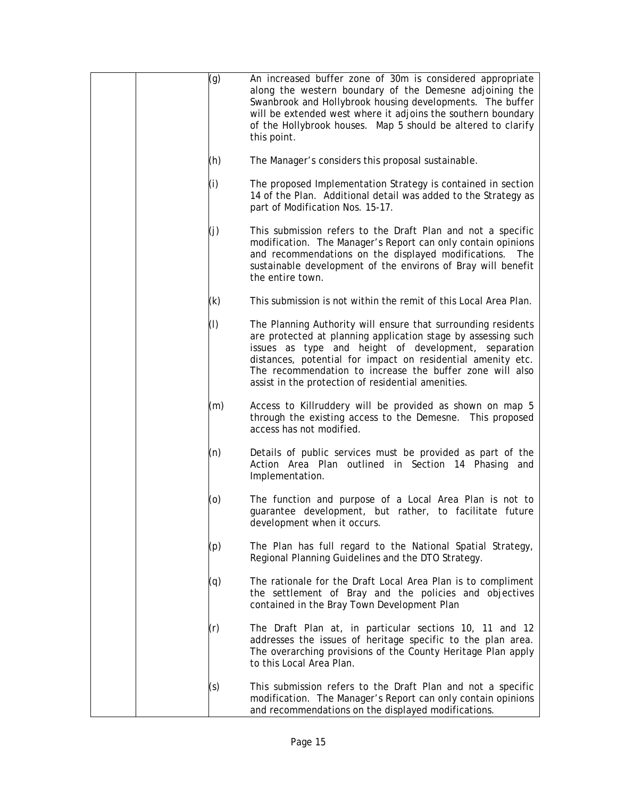| (g)       | An increased buffer zone of 30m is considered appropriate<br>along the western boundary of the Demesne adjoining the<br>Swanbrook and Hollybrook housing developments. The buffer<br>will be extended west where it adjoins the southern boundary<br>of the Hollybrook houses. Map 5 should be altered to clarify<br>this point.                                        |
|-----------|-------------------------------------------------------------------------------------------------------------------------------------------------------------------------------------------------------------------------------------------------------------------------------------------------------------------------------------------------------------------------|
| (h)       | The Manager's considers this proposal sustainable.                                                                                                                                                                                                                                                                                                                      |
| (i)       | The proposed Implementation Strategy is contained in section<br>14 of the Plan. Additional detail was added to the Strategy as<br>part of Modification Nos. 15-17.                                                                                                                                                                                                      |
| (j)       | This submission refers to the Draft Plan and not a specific<br>modification. The Manager's Report can only contain opinions<br>and recommendations on the displayed modifications.<br><b>The</b><br>sustainable development of the environs of Bray will benefit<br>the entire town.                                                                                    |
| (k)       | This submission is not within the remit of this Local Area Plan.                                                                                                                                                                                                                                                                                                        |
| $($ l $)$ | The Planning Authority will ensure that surrounding residents<br>are protected at planning application stage by assessing such<br>issues as type and height of development, separation<br>distances, potential for impact on residential amenity etc.<br>The recommendation to increase the buffer zone will also<br>assist in the protection of residential amenities. |
| (m)       | Access to Killruddery will be provided as shown on map 5<br>through the existing access to the Demesne. This proposed<br>access has not modified.                                                                                                                                                                                                                       |
| (n)       | Details of public services must be provided as part of the<br>Action Area Plan outlined in Section 14 Phasing and<br>Implementation.                                                                                                                                                                                                                                    |
| (o)       | The function and purpose of a Local Area Plan is not to<br>guarantee development, but rather, to facilitate future<br>development when it occurs.                                                                                                                                                                                                                       |
| (p)       | The Plan has full regard to the National Spatial Strategy,<br>Regional Planning Guidelines and the DTO Strategy.                                                                                                                                                                                                                                                        |
| (q)       | The rationale for the Draft Local Area Plan is to compliment<br>the settlement of Bray and the policies and objectives<br>contained in the Bray Town Development Plan                                                                                                                                                                                                   |
| (r)       | The Draft Plan at, in particular sections 10, 11 and 12<br>addresses the issues of heritage specific to the plan area.<br>The overarching provisions of the County Heritage Plan apply<br>to this Local Area Plan.                                                                                                                                                      |
| (s)       | This submission refers to the Draft Plan and not a specific<br>modification. The Manager's Report can only contain opinions<br>and recommendations on the displayed modifications.                                                                                                                                                                                      |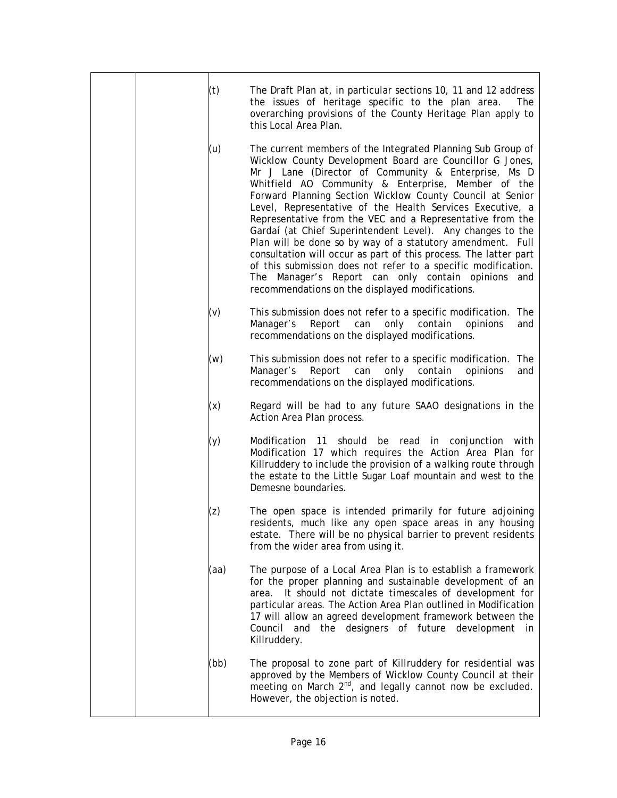|  | (t)  | The Draft Plan at, in particular sections 10, 11 and 12 address                                                                                                                                                                                                                                                                                                                                                                                                                                                                                                                                                                                                                                                                                                                                       |
|--|------|-------------------------------------------------------------------------------------------------------------------------------------------------------------------------------------------------------------------------------------------------------------------------------------------------------------------------------------------------------------------------------------------------------------------------------------------------------------------------------------------------------------------------------------------------------------------------------------------------------------------------------------------------------------------------------------------------------------------------------------------------------------------------------------------------------|
|  |      | the issues of heritage specific to the plan area.<br><b>The</b><br>overarching provisions of the County Heritage Plan apply to<br>this Local Area Plan.                                                                                                                                                                                                                                                                                                                                                                                                                                                                                                                                                                                                                                               |
|  | (u)  | The current members of the Integrated Planning Sub Group of<br>Wicklow County Development Board are Councillor G Jones,<br>Mr J Lane (Director of Community & Enterprise, Ms D<br>Whitfield AO Community & Enterprise, Member of the<br>Forward Planning Section Wicklow County Council at Senior<br>Level, Representative of the Health Services Executive, a<br>Representative from the VEC and a Representative from the<br>Gardaí (at Chief Superintendent Level). Any changes to the<br>Plan will be done so by way of a statutory amendment. Full<br>consultation will occur as part of this process. The latter part<br>of this submission does not refer to a specific modification.<br>The Manager's Report can only contain opinions and<br>recommendations on the displayed modifications. |
|  | (v)  | This submission does not refer to a specific modification. The<br>only contain<br>Report<br>can<br>opinions<br>Manager's<br>and<br>recommendations on the displayed modifications.                                                                                                                                                                                                                                                                                                                                                                                                                                                                                                                                                                                                                    |
|  | (w)  | This submission does not refer to a specific modification. The<br>Report<br>Manager's<br>can<br>only contain<br>opinions<br>and<br>recommendations on the displayed modifications.                                                                                                                                                                                                                                                                                                                                                                                                                                                                                                                                                                                                                    |
|  | (x)  | Regard will be had to any future SAAO designations in the<br>Action Area Plan process.                                                                                                                                                                                                                                                                                                                                                                                                                                                                                                                                                                                                                                                                                                                |
|  | (y)  | Modification 11<br>should be read in conjunction with<br>Modification 17 which requires the Action Area Plan for<br>Killruddery to include the provision of a walking route through<br>the estate to the Little Sugar Loaf mountain and west to the<br>Demesne boundaries.                                                                                                                                                                                                                                                                                                                                                                                                                                                                                                                            |
|  | (z)  | The open space is intended primarily for future adjoining<br>residents, much like any open space areas in any housing<br>estate. There will be no physical barrier to prevent residents<br>from the wider area from using it.                                                                                                                                                                                                                                                                                                                                                                                                                                                                                                                                                                         |
|  | (aa) | The purpose of a Local Area Plan is to establish a framework<br>for the proper planning and sustainable development of an<br>area. It should not dictate timescales of development for<br>particular areas. The Action Area Plan outlined in Modification<br>17 will allow an agreed development framework between the<br>Council and the designers of future development in<br>Killruddery.                                                                                                                                                                                                                                                                                                                                                                                                          |
|  | (bb) | The proposal to zone part of Killruddery for residential was<br>approved by the Members of Wicklow County Council at their<br>meeting on March 2 <sup>nd</sup> , and legally cannot now be excluded.<br>However, the objection is noted.                                                                                                                                                                                                                                                                                                                                                                                                                                                                                                                                                              |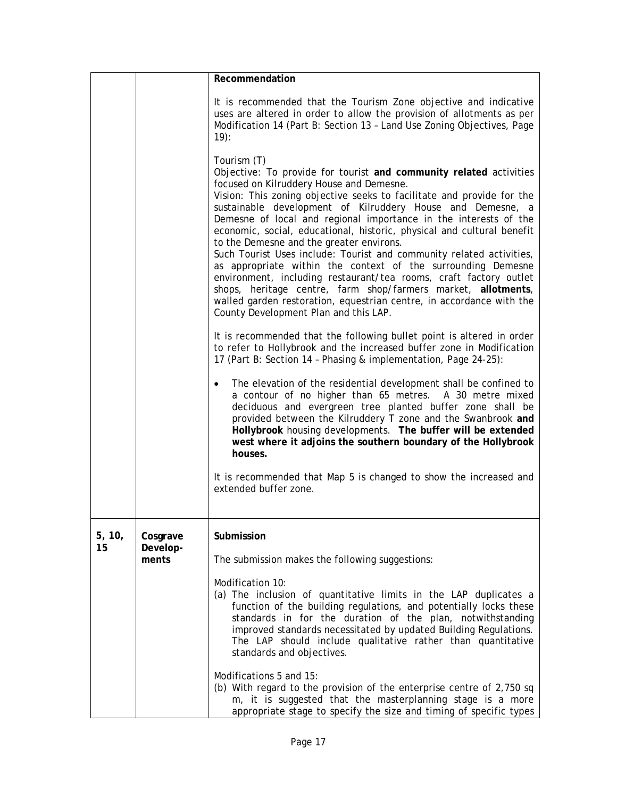|        |                   | Recommendation                                                                                                                                                                                                                                                                                                                                                                                                                                                                                                                                                                                                                                                                                                                                                                                                                                                |
|--------|-------------------|---------------------------------------------------------------------------------------------------------------------------------------------------------------------------------------------------------------------------------------------------------------------------------------------------------------------------------------------------------------------------------------------------------------------------------------------------------------------------------------------------------------------------------------------------------------------------------------------------------------------------------------------------------------------------------------------------------------------------------------------------------------------------------------------------------------------------------------------------------------|
|        |                   | It is recommended that the Tourism Zone objective and indicative<br>uses are altered in order to allow the provision of allotments as per<br>Modification 14 (Part B: Section 13 - Land Use Zoning Objectives, Page<br>$19$ :                                                                                                                                                                                                                                                                                                                                                                                                                                                                                                                                                                                                                                 |
|        |                   | Tourism (T)<br>Objective: To provide for tourist and community related activities<br>focused on Kilruddery House and Demesne.<br>Vision: This zoning objective seeks to facilitate and provide for the<br>sustainable development of Kilruddery House and Demesne, a<br>Demesne of local and regional importance in the interests of the<br>economic, social, educational, historic, physical and cultural benefit<br>to the Demesne and the greater environs.<br>Such Tourist Uses include: Tourist and community related activities,<br>as appropriate within the context of the surrounding Demesne<br>environment, including restaurant/tea rooms, craft factory outlet<br>shops, heritage centre, farm shop/farmers market, allotments,<br>walled garden restoration, equestrian centre, in accordance with the<br>County Development Plan and this LAP. |
|        |                   | It is recommended that the following bullet point is altered in order<br>to refer to Hollybrook and the increased buffer zone in Modification<br>17 (Part B: Section 14 - Phasing & implementation, Page 24-25):                                                                                                                                                                                                                                                                                                                                                                                                                                                                                                                                                                                                                                              |
|        |                   | The elevation of the residential development shall be confined to<br>a contour of no higher than 65 metres. A 30 metre mixed<br>deciduous and evergreen tree planted buffer zone shall be<br>provided between the Kilruddery T zone and the Swanbrook and<br>Hollybrook housing developments. The buffer will be extended<br>west where it adjoins the southern boundary of the Hollybrook<br>houses.                                                                                                                                                                                                                                                                                                                                                                                                                                                         |
|        |                   | It is recommended that Map 5 is changed to show the increased and<br>extended buffer zone.                                                                                                                                                                                                                                                                                                                                                                                                                                                                                                                                                                                                                                                                                                                                                                    |
| 5, 10, | Cosgrave          | Submission                                                                                                                                                                                                                                                                                                                                                                                                                                                                                                                                                                                                                                                                                                                                                                                                                                                    |
| 15     | Develop-<br>ments | The submission makes the following suggestions:                                                                                                                                                                                                                                                                                                                                                                                                                                                                                                                                                                                                                                                                                                                                                                                                               |
|        |                   | Modification 10:<br>(a) The inclusion of quantitative limits in the LAP duplicates a<br>function of the building regulations, and potentially locks these<br>standards in for the duration of the plan, notwithstanding<br>improved standards necessitated by updated Building Regulations.<br>The LAP should include qualitative rather than quantitative<br>standards and objectives.                                                                                                                                                                                                                                                                                                                                                                                                                                                                       |
|        |                   | Modifications 5 and 15:<br>(b) With regard to the provision of the enterprise centre of 2,750 sq<br>m, it is suggested that the masterplanning stage is a more<br>appropriate stage to specify the size and timing of specific types                                                                                                                                                                                                                                                                                                                                                                                                                                                                                                                                                                                                                          |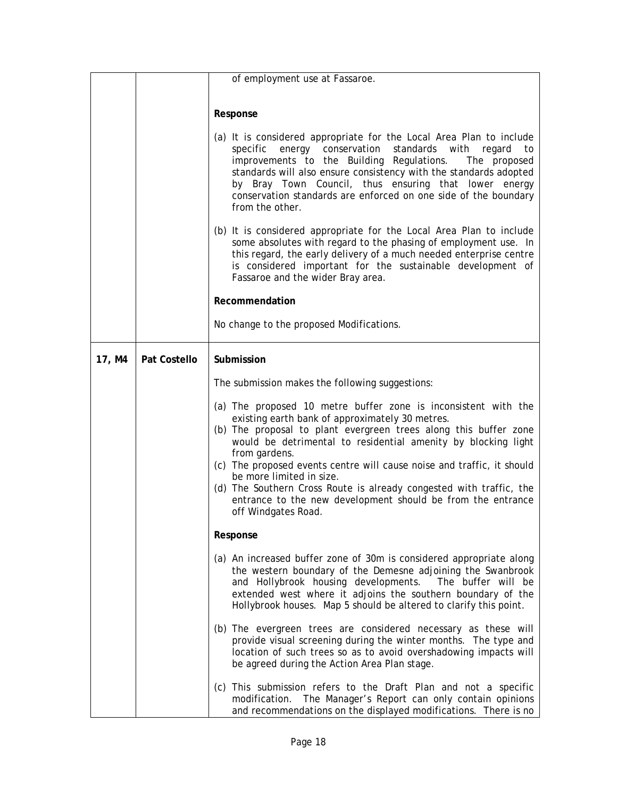|        |              | of employment use at Fassaroe.                                                                                                                                                                                                                                                                                                                                                                                                                                                                                                             |
|--------|--------------|--------------------------------------------------------------------------------------------------------------------------------------------------------------------------------------------------------------------------------------------------------------------------------------------------------------------------------------------------------------------------------------------------------------------------------------------------------------------------------------------------------------------------------------------|
|        |              |                                                                                                                                                                                                                                                                                                                                                                                                                                                                                                                                            |
|        |              | Response                                                                                                                                                                                                                                                                                                                                                                                                                                                                                                                                   |
|        |              | (a) It is considered appropriate for the Local Area Plan to include<br>specific energy conservation<br>standards with<br>to<br>regard<br>improvements to the Building Regulations.<br>The proposed<br>standards will also ensure consistency with the standards adopted<br>by Bray Town Council, thus ensuring that lower energy<br>conservation standards are enforced on one side of the boundary<br>from the other.                                                                                                                     |
|        |              | (b) It is considered appropriate for the Local Area Plan to include<br>some absolutes with regard to the phasing of employment use. In<br>this regard, the early delivery of a much needed enterprise centre<br>is considered important for the sustainable development of<br>Fassaroe and the wider Bray area.                                                                                                                                                                                                                            |
|        |              | Recommendation                                                                                                                                                                                                                                                                                                                                                                                                                                                                                                                             |
|        |              | No change to the proposed Modifications.                                                                                                                                                                                                                                                                                                                                                                                                                                                                                                   |
| 17, M4 | Pat Costello | Submission                                                                                                                                                                                                                                                                                                                                                                                                                                                                                                                                 |
|        |              | The submission makes the following suggestions:                                                                                                                                                                                                                                                                                                                                                                                                                                                                                            |
|        |              | (a) The proposed 10 metre buffer zone is inconsistent with the<br>existing earth bank of approximately 30 metres.<br>(b) The proposal to plant evergreen trees along this buffer zone<br>would be detrimental to residential amenity by blocking light<br>from gardens.<br>(c) The proposed events centre will cause noise and traffic, it should<br>be more limited in size.<br>(d) The Southern Cross Route is already congested with traffic, the<br>entrance to the new development should be from the entrance<br>off Windgates Road. |
|        |              | Response                                                                                                                                                                                                                                                                                                                                                                                                                                                                                                                                   |
|        |              | (a) An increased buffer zone of 30m is considered appropriate along<br>the western boundary of the Demesne adjoining the Swanbrook<br>and Hollybrook housing developments. The buffer will be<br>extended west where it adjoins the southern boundary of the<br>Hollybrook houses. Map 5 should be altered to clarify this point.                                                                                                                                                                                                          |
|        |              | (b) The evergreen trees are considered necessary as these will<br>provide visual screening during the winter months. The type and<br>location of such trees so as to avoid overshadowing impacts will<br>be agreed during the Action Area Plan stage.                                                                                                                                                                                                                                                                                      |
|        |              | (c) This submission refers to the Draft Plan and not a specific<br>modification. The Manager's Report can only contain opinions<br>and recommendations on the displayed modifications. There is no                                                                                                                                                                                                                                                                                                                                         |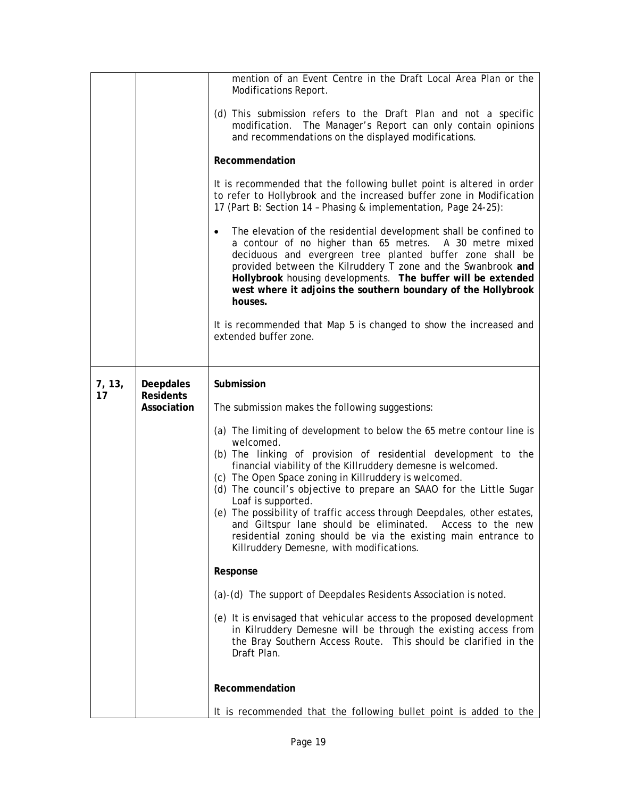|              |                               | mention of an Event Centre in the Draft Local Area Plan or the<br>Modifications Report.                                                                                                                                                                                                                                                                                                                                                  |
|--------------|-------------------------------|------------------------------------------------------------------------------------------------------------------------------------------------------------------------------------------------------------------------------------------------------------------------------------------------------------------------------------------------------------------------------------------------------------------------------------------|
|              |                               | (d) This submission refers to the Draft Plan and not a specific<br>modification. The Manager's Report can only contain opinions<br>and recommendations on the displayed modifications.<br>Recommendation                                                                                                                                                                                                                                 |
|              |                               | It is recommended that the following bullet point is altered in order<br>to refer to Hollybrook and the increased buffer zone in Modification<br>17 (Part B: Section 14 - Phasing & implementation, Page 24-25):                                                                                                                                                                                                                         |
|              |                               | The elevation of the residential development shall be confined to<br>$\bullet$<br>a contour of no higher than 65 metres. A 30 metre mixed<br>deciduous and evergreen tree planted buffer zone shall be<br>provided between the Kilruddery T zone and the Swanbrook and<br>Hollybrook housing developments. The buffer will be extended<br>west where it adjoins the southern boundary of the Hollybrook<br>houses.                       |
|              |                               | It is recommended that Map 5 is changed to show the increased and<br>extended buffer zone.                                                                                                                                                                                                                                                                                                                                               |
| 7, 13,<br>17 | Deepdales<br><b>Residents</b> | Submission                                                                                                                                                                                                                                                                                                                                                                                                                               |
|              | Association                   | The submission makes the following suggestions:                                                                                                                                                                                                                                                                                                                                                                                          |
|              |                               | (a) The limiting of development to below the 65 metre contour line is                                                                                                                                                                                                                                                                                                                                                                    |
|              |                               | welcomed.<br>(b) The linking of provision of residential development to the<br>financial viability of the Killruddery demesne is welcomed.<br>(c) The Open Space zoning in Killruddery is welcomed.<br>(d) The council's objective to prepare an SAAO for the Little Sugar<br>Loaf is supported.<br>(e) The possibility of traffic access through Deepdales, other estates,<br>and Giltspur lane should be eliminated. Access to the new |
|              |                               | residential zoning should be via the existing main entrance to<br>Killruddery Demesne, with modifications.                                                                                                                                                                                                                                                                                                                               |
|              |                               | Response                                                                                                                                                                                                                                                                                                                                                                                                                                 |
|              |                               | (a)-(d) The support of Deepdales Residents Association is noted.                                                                                                                                                                                                                                                                                                                                                                         |
|              |                               | (e) It is envisaged that vehicular access to the proposed development<br>in Kilruddery Demesne will be through the existing access from<br>the Bray Southern Access Route. This should be clarified in the<br>Draft Plan.                                                                                                                                                                                                                |
|              |                               | Recommendation                                                                                                                                                                                                                                                                                                                                                                                                                           |
|              |                               | It is recommended that the following bullet point is added to the                                                                                                                                                                                                                                                                                                                                                                        |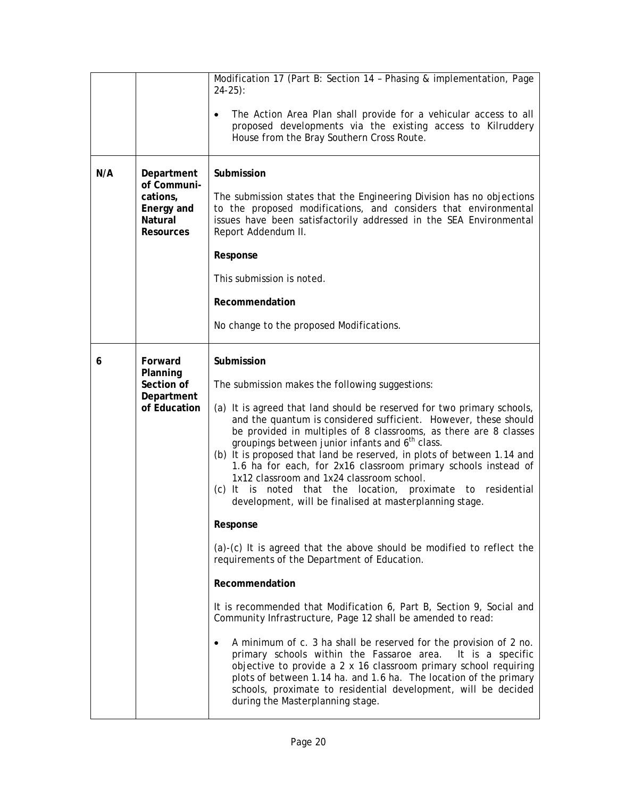| N/A                                                                         | Department                                                      | Modification 17 (Part B: Section 14 - Phasing & implementation, Page<br>$24-25$ :<br>The Action Area Plan shall provide for a vehicular access to all<br>٠<br>proposed developments via the existing access to Kilruddery<br>House from the Bray Southern Cross Route.<br>Submission                                                                                                                                                                                                                                                                                                                                                                                                                                                                                                                                                                                                                                                                                                                                                                                                                                                                                                                                                                                                                                                                             |
|-----------------------------------------------------------------------------|-----------------------------------------------------------------|------------------------------------------------------------------------------------------------------------------------------------------------------------------------------------------------------------------------------------------------------------------------------------------------------------------------------------------------------------------------------------------------------------------------------------------------------------------------------------------------------------------------------------------------------------------------------------------------------------------------------------------------------------------------------------------------------------------------------------------------------------------------------------------------------------------------------------------------------------------------------------------------------------------------------------------------------------------------------------------------------------------------------------------------------------------------------------------------------------------------------------------------------------------------------------------------------------------------------------------------------------------------------------------------------------------------------------------------------------------|
| of Communi-<br>cations,<br>Energy and<br><b>Natural</b><br><b>Resources</b> |                                                                 | The submission states that the Engineering Division has no objections<br>to the proposed modifications, and considers that environmental<br>issues have been satisfactorily addressed in the SEA Environmental<br>Report Addendum II.<br>Response<br>This submission is noted.<br>Recommendation                                                                                                                                                                                                                                                                                                                                                                                                                                                                                                                                                                                                                                                                                                                                                                                                                                                                                                                                                                                                                                                                 |
|                                                                             |                                                                 | No change to the proposed Modifications.                                                                                                                                                                                                                                                                                                                                                                                                                                                                                                                                                                                                                                                                                                                                                                                                                                                                                                                                                                                                                                                                                                                                                                                                                                                                                                                         |
| 6                                                                           | Forward<br>Planning<br>Section of<br>Department<br>of Education | Submission<br>The submission makes the following suggestions:<br>(a) It is agreed that land should be reserved for two primary schools,<br>and the quantum is considered sufficient. However, these should<br>be provided in multiples of 8 classrooms, as there are 8 classes<br>groupings between junior infants and 6 <sup>th</sup> class.<br>(b) It is proposed that land be reserved, in plots of between 1.14 and<br>1.6 ha for each, for 2x16 classroom primary schools instead of<br>1x12 classroom and 1x24 classroom school.<br>(c) It is noted that the location, proximate to residential<br>development, will be finalised at masterplanning stage.<br>Response<br>(a)-(c) It is agreed that the above should be modified to reflect the<br>requirements of the Department of Education.<br>Recommendation<br>It is recommended that Modification 6, Part B, Section 9, Social and<br>Community Infrastructure, Page 12 shall be amended to read:<br>A minimum of c. 3 ha shall be reserved for the provision of 2 no.<br>$\bullet$<br>primary schools within the Fassaroe area.<br>It is a specific<br>objective to provide a 2 x 16 classroom primary school requiring<br>plots of between 1.14 ha. and 1.6 ha. The location of the primary<br>schools, proximate to residential development, will be decided<br>during the Masterplanning stage. |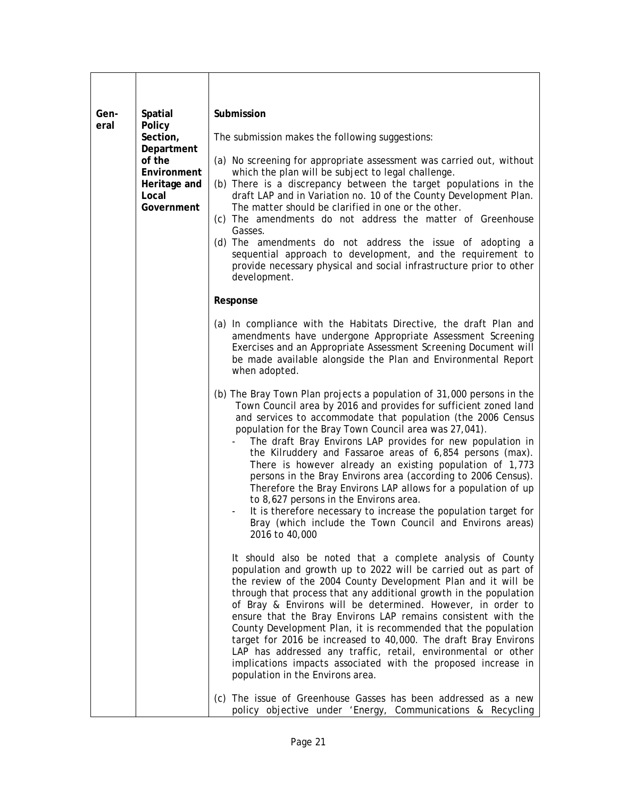| Gen-<br>eral | <b>Spatial</b><br>Policy<br>Section,<br>Department<br>of the<br>Environment<br>Heritage and<br>Local<br>Government | Submission                                                                                                                                                                                                                                                                                                                                                                                                                                                                                                                                                                                                                                                                                                                                                                              |
|--------------|--------------------------------------------------------------------------------------------------------------------|-----------------------------------------------------------------------------------------------------------------------------------------------------------------------------------------------------------------------------------------------------------------------------------------------------------------------------------------------------------------------------------------------------------------------------------------------------------------------------------------------------------------------------------------------------------------------------------------------------------------------------------------------------------------------------------------------------------------------------------------------------------------------------------------|
|              |                                                                                                                    | The submission makes the following suggestions:                                                                                                                                                                                                                                                                                                                                                                                                                                                                                                                                                                                                                                                                                                                                         |
|              |                                                                                                                    | (a) No screening for appropriate assessment was carried out, without<br>which the plan will be subject to legal challenge.<br>(b) There is a discrepancy between the target populations in the<br>draft LAP and in Variation no. 10 of the County Development Plan.<br>The matter should be clarified in one or the other.<br>(c) The amendments do not address the matter of Greenhouse<br>Gasses.<br>(d) The amendments do not address the issue of adopting a<br>sequential approach to development, and the requirement to<br>provide necessary physical and social infrastructure prior to other<br>development.                                                                                                                                                                   |
|              |                                                                                                                    | Response                                                                                                                                                                                                                                                                                                                                                                                                                                                                                                                                                                                                                                                                                                                                                                                |
|              |                                                                                                                    | (a) In compliance with the Habitats Directive, the draft Plan and<br>amendments have undergone Appropriate Assessment Screening<br>Exercises and an Appropriate Assessment Screening Document will<br>be made available alongside the Plan and Environmental Report<br>when adopted.                                                                                                                                                                                                                                                                                                                                                                                                                                                                                                    |
|              |                                                                                                                    | (b) The Bray Town Plan projects a population of 31,000 persons in the<br>Town Council area by 2016 and provides for sufficient zoned land<br>and services to accommodate that population (the 2006 Census<br>population for the Bray Town Council area was 27,041).<br>The draft Bray Environs LAP provides for new population in<br>the Kilruddery and Fassaroe areas of 6,854 persons (max).<br>There is however already an existing population of 1,773<br>persons in the Bray Environs area (according to 2006 Census).<br>Therefore the Bray Environs LAP allows for a population of up<br>to 8,627 persons in the Environs area.<br>It is therefore necessary to increase the population target for<br>Bray (which include the Town Council and Environs areas)<br>2016 to 40,000 |
|              |                                                                                                                    | It should also be noted that a complete analysis of County<br>population and growth up to 2022 will be carried out as part of<br>the review of the 2004 County Development Plan and it will be<br>through that process that any additional growth in the population<br>of Bray & Environs will be determined. However, in order to<br>ensure that the Bray Environs LAP remains consistent with the<br>County Development Plan, it is recommended that the population<br>target for 2016 be increased to 40,000. The draft Bray Environs<br>LAP has addressed any traffic, retail, environmental or other<br>implications impacts associated with the proposed increase in<br>population in the Environs area.                                                                          |
|              |                                                                                                                    | (c) The issue of Greenhouse Gasses has been addressed as a new<br>policy objective under 'Energy, Communications & Recycling                                                                                                                                                                                                                                                                                                                                                                                                                                                                                                                                                                                                                                                            |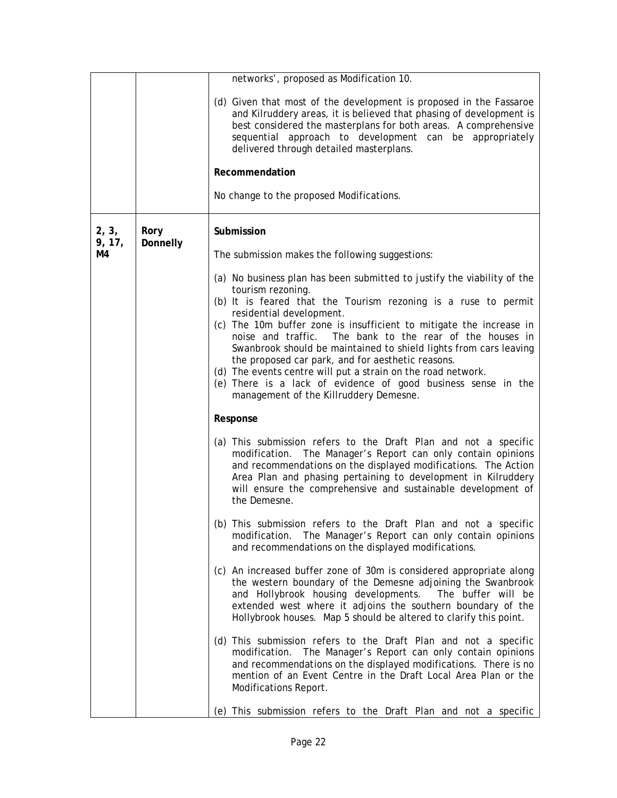|                 |                  | networks', proposed as Modification 10.                                                                                                                                                                                                                                                                                                                                                                                                                                                                                                                                                                                               |
|-----------------|------------------|---------------------------------------------------------------------------------------------------------------------------------------------------------------------------------------------------------------------------------------------------------------------------------------------------------------------------------------------------------------------------------------------------------------------------------------------------------------------------------------------------------------------------------------------------------------------------------------------------------------------------------------|
|                 |                  | (d) Given that most of the development is proposed in the Fassaroe<br>and Kilruddery areas, it is believed that phasing of development is<br>best considered the masterplans for both areas. A comprehensive<br>sequential approach to development can be appropriately<br>delivered through detailed masterplans.                                                                                                                                                                                                                                                                                                                    |
|                 |                  | Recommendation                                                                                                                                                                                                                                                                                                                                                                                                                                                                                                                                                                                                                        |
|                 |                  | No change to the proposed Modifications.                                                                                                                                                                                                                                                                                                                                                                                                                                                                                                                                                                                              |
| 2, 3,<br>9, 17, | Rory<br>Donnelly | Submission                                                                                                                                                                                                                                                                                                                                                                                                                                                                                                                                                                                                                            |
| M4              |                  | The submission makes the following suggestions:                                                                                                                                                                                                                                                                                                                                                                                                                                                                                                                                                                                       |
|                 |                  | (a) No business plan has been submitted to justify the viability of the<br>tourism rezoning.<br>(b) It is feared that the Tourism rezoning is a ruse to permit<br>residential development.<br>(c) The 10m buffer zone is insufficient to mitigate the increase in<br>noise and traffic.<br>The bank to the rear of the houses in<br>Swanbrook should be maintained to shield lights from cars leaving<br>the proposed car park, and for aesthetic reasons.<br>(d) The events centre will put a strain on the road network.<br>(e) There is a lack of evidence of good business sense in the<br>management of the Killruddery Demesne. |
|                 |                  | Response                                                                                                                                                                                                                                                                                                                                                                                                                                                                                                                                                                                                                              |
|                 |                  | (a) This submission refers to the Draft Plan and not a specific<br>modification. The Manager's Report can only contain opinions<br>and recommendations on the displayed modifications. The Action<br>Area Plan and phasing pertaining to development in Kilruddery<br>will ensure the comprehensive and sustainable development of<br>the Demesne.                                                                                                                                                                                                                                                                                    |
|                 |                  | (b) This submission refers to the Draft Plan and not a specific<br>modification. The Manager's Report can only contain opinions<br>and recommendations on the displayed modifications.                                                                                                                                                                                                                                                                                                                                                                                                                                                |
|                 |                  | (c) An increased buffer zone of 30m is considered appropriate along<br>the western boundary of the Demesne adjoining the Swanbrook<br>and Hollybrook housing developments. The buffer will be<br>extended west where it adjoins the southern boundary of the<br>Hollybrook houses. Map 5 should be altered to clarify this point.                                                                                                                                                                                                                                                                                                     |
|                 |                  | (d) This submission refers to the Draft Plan and not a specific<br>modification. The Manager's Report can only contain opinions<br>and recommendations on the displayed modifications. There is no<br>mention of an Event Centre in the Draft Local Area Plan or the<br>Modifications Report.                                                                                                                                                                                                                                                                                                                                         |
|                 |                  | (e) This submission refers to the Draft Plan and not a specific                                                                                                                                                                                                                                                                                                                                                                                                                                                                                                                                                                       |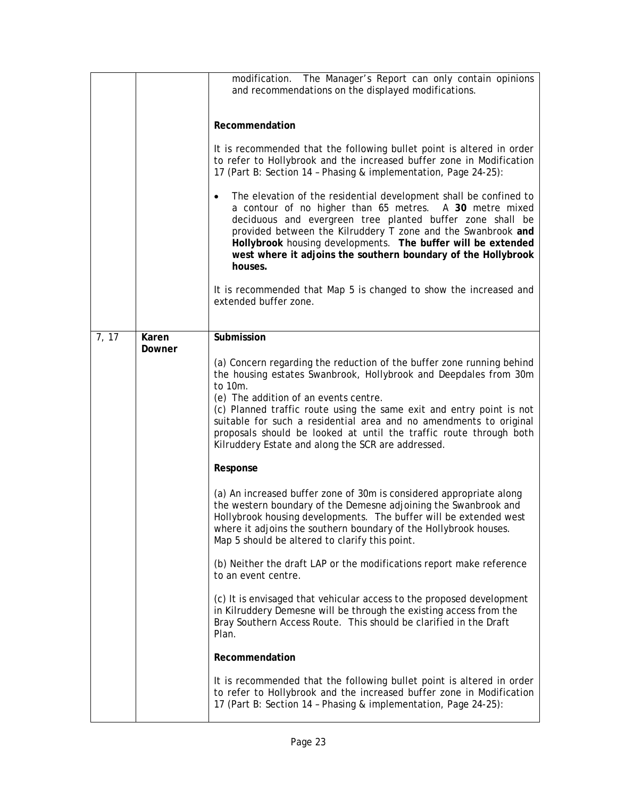|       |                 | modification. The Manager's Report can only contain opinions<br>and recommendations on the displayed modifications.<br>Recommendation<br>It is recommended that the following bullet point is altered in order<br>to refer to Hollybrook and the increased buffer zone in Modification<br>17 (Part B: Section 14 - Phasing & implementation, Page 24-25):<br>The elevation of the residential development shall be confined to<br>$\bullet$<br>a contour of no higher than 65 metres. A 30 metre mixed<br>deciduous and evergreen tree planted buffer zone shall be<br>provided between the Kilruddery T zone and the Swanbrook and<br>Hollybrook housing developments. The buffer will be extended<br>west where it adjoins the southern boundary of the Hollybrook<br>houses.<br>It is recommended that Map 5 is changed to show the increased and<br>extended buffer zone.                                                                                                                                                                                                                                                                                                                                                                                                                                                                                                                            |
|-------|-----------------|----------------------------------------------------------------------------------------------------------------------------------------------------------------------------------------------------------------------------------------------------------------------------------------------------------------------------------------------------------------------------------------------------------------------------------------------------------------------------------------------------------------------------------------------------------------------------------------------------------------------------------------------------------------------------------------------------------------------------------------------------------------------------------------------------------------------------------------------------------------------------------------------------------------------------------------------------------------------------------------------------------------------------------------------------------------------------------------------------------------------------------------------------------------------------------------------------------------------------------------------------------------------------------------------------------------------------------------------------------------------------------------------------------|
|       |                 |                                                                                                                                                                                                                                                                                                                                                                                                                                                                                                                                                                                                                                                                                                                                                                                                                                                                                                                                                                                                                                                                                                                                                                                                                                                                                                                                                                                                          |
| 7, 17 | Karen<br>Downer | Submission<br>(a) Concern regarding the reduction of the buffer zone running behind<br>the housing estates Swanbrook, Hollybrook and Deepdales from 30m<br>to 10m.<br>(e) The addition of an events centre.<br>(c) Planned traffic route using the same exit and entry point is not<br>suitable for such a residential area and no amendments to original<br>proposals should be looked at until the traffic route through both<br>Kilruddery Estate and along the SCR are addressed.<br>Response<br>(a) An increased buffer zone of 30m is considered appropriate along<br>the western boundary of the Demesne adjoining the Swanbrook and<br>Hollybrook housing developments. The buffer will be extended west<br>where it adjoins the southern boundary of the Hollybrook houses.<br>Map 5 should be altered to clarify this point.<br>(b) Neither the draft LAP or the modifications report make reference<br>to an event centre.<br>(c) It is envisaged that vehicular access to the proposed development<br>in Kilruddery Demesne will be through the existing access from the<br>Bray Southern Access Route. This should be clarified in the Draft<br>Plan.<br>Recommendation<br>It is recommended that the following bullet point is altered in order<br>to refer to Hollybrook and the increased buffer zone in Modification<br>17 (Part B: Section 14 - Phasing & implementation, Page 24-25): |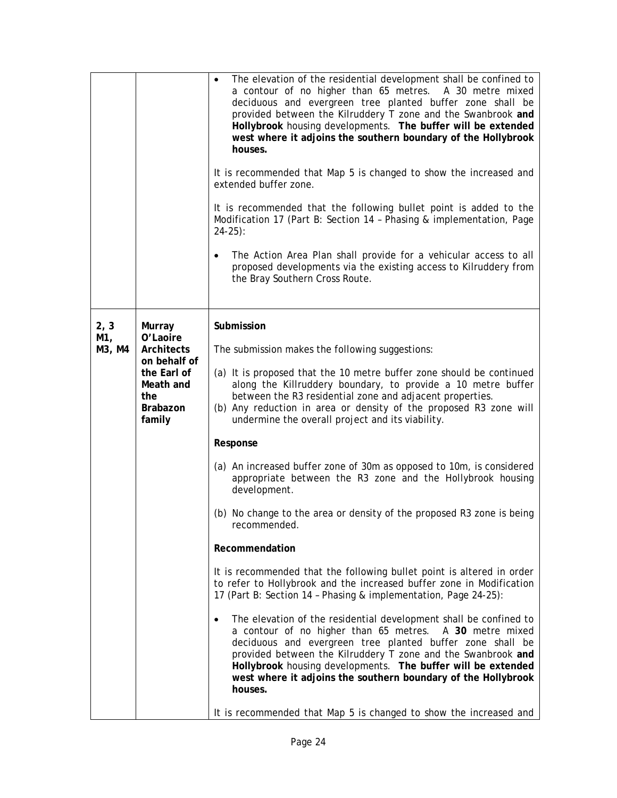|                       |                                                                                                                  | The elevation of the residential development shall be confined to<br>a contour of no higher than 65 metres. A 30 metre mixed<br>deciduous and evergreen tree planted buffer zone shall be<br>provided between the Kilruddery T zone and the Swanbrook and<br>Hollybrook housing developments. The buffer will be extended<br>west where it adjoins the southern boundary of the Hollybrook<br>houses.<br>It is recommended that Map 5 is changed to show the increased and<br>extended buffer zone.<br>It is recommended that the following bullet point is added to the<br>Modification 17 (Part B: Section 14 - Phasing & implementation, Page<br>$24-25$ :<br>The Action Area Plan shall provide for a vehicular access to all<br>$\bullet$<br>proposed developments via the existing access to Kilruddery from<br>the Bray Southern Cross Route.                                                                                                                                                                                                                                                                                                                                                                                                                                                                                                                      |
|-----------------------|------------------------------------------------------------------------------------------------------------------|---------------------------------------------------------------------------------------------------------------------------------------------------------------------------------------------------------------------------------------------------------------------------------------------------------------------------------------------------------------------------------------------------------------------------------------------------------------------------------------------------------------------------------------------------------------------------------------------------------------------------------------------------------------------------------------------------------------------------------------------------------------------------------------------------------------------------------------------------------------------------------------------------------------------------------------------------------------------------------------------------------------------------------------------------------------------------------------------------------------------------------------------------------------------------------------------------------------------------------------------------------------------------------------------------------------------------------------------------------------------------|
| 2, 3<br>M1,<br>M3, M4 | Murray<br>O'Laoire<br>Architects<br>on behalf of<br>the Earl of<br>Meath and<br>the<br><b>Brabazon</b><br>family | Submission<br>The submission makes the following suggestions:<br>(a) It is proposed that the 10 metre buffer zone should be continued<br>along the Killruddery boundary, to provide a 10 metre buffer<br>between the R3 residential zone and adjacent properties.<br>(b) Any reduction in area or density of the proposed R3 zone will<br>undermine the overall project and its viability.<br>Response<br>(a) An increased buffer zone of 30m as opposed to 10m, is considered<br>appropriate between the R3 zone and the Hollybrook housing<br>development.<br>(b) No change to the area or density of the proposed R3 zone is being<br>recommended.<br>Recommendation<br>It is recommended that the following bullet point is altered in order<br>to refer to Hollybrook and the increased buffer zone in Modification<br>17 (Part B: Section 14 - Phasing & implementation, Page 24-25):<br>The elevation of the residential development shall be confined to<br>a contour of no higher than 65 metres. A 30 metre mixed<br>deciduous and evergreen tree planted buffer zone shall be<br>provided between the Kilruddery T zone and the Swanbrook and<br>Hollybrook housing developments. The buffer will be extended<br>west where it adjoins the southern boundary of the Hollybrook<br>houses.<br>It is recommended that Map 5 is changed to show the increased and |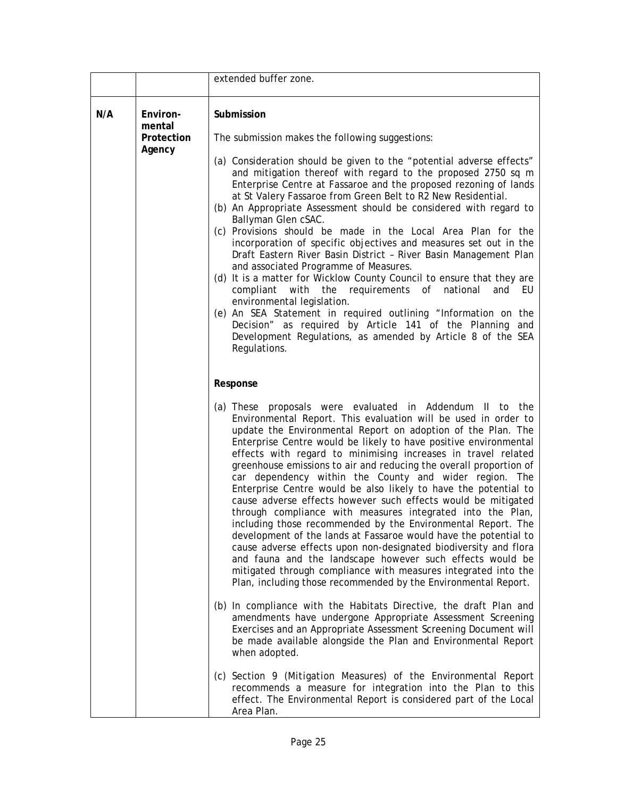|     |                                            | extended buffer zone.                                                                                                                                                                                                                                                                                                                                                                                                                                                                                                                                                                                                                                                                                                                                                                                                                                                                                                                                                                                                                                                                                                                           |
|-----|--------------------------------------------|-------------------------------------------------------------------------------------------------------------------------------------------------------------------------------------------------------------------------------------------------------------------------------------------------------------------------------------------------------------------------------------------------------------------------------------------------------------------------------------------------------------------------------------------------------------------------------------------------------------------------------------------------------------------------------------------------------------------------------------------------------------------------------------------------------------------------------------------------------------------------------------------------------------------------------------------------------------------------------------------------------------------------------------------------------------------------------------------------------------------------------------------------|
| N/A | Environ-<br>mental<br>Protection<br>Agency | Submission<br>The submission makes the following suggestions:<br>(a) Consideration should be given to the "potential adverse effects"<br>and mitigation thereof with regard to the proposed 2750 sq m<br>Enterprise Centre at Fassaroe and the proposed rezoning of lands<br>at St Valery Fassaroe from Green Belt to R2 New Residential.<br>(b) An Appropriate Assessment should be considered with regard to<br>Ballyman Glen cSAC.<br>(c) Provisions should be made in the Local Area Plan for the<br>incorporation of specific objectives and measures set out in the<br>Draft Eastern River Basin District - River Basin Management Plan<br>and associated Programme of Measures.<br>(d) It is a matter for Wicklow County Council to ensure that they are<br>the requirements of<br>national<br>compliant<br>with<br>and EU<br>environmental legislation.<br>(e) An SEA Statement in required outlining "Information on the<br>Decision" as required by Article 141 of the Planning and<br>Development Regulations, as amended by Article 8 of the SEA<br>Regulations.                                                                    |
|     |                                            | Response                                                                                                                                                                                                                                                                                                                                                                                                                                                                                                                                                                                                                                                                                                                                                                                                                                                                                                                                                                                                                                                                                                                                        |
|     |                                            | (a) These proposals were evaluated in Addendum II to the<br>Environmental Report. This evaluation will be used in order to<br>update the Environmental Report on adoption of the Plan. The<br>Enterprise Centre would be likely to have positive environmental<br>effects with regard to minimising increases in travel related<br>greenhouse emissions to air and reducing the overall proportion of<br>car dependency within the County and wider region. The<br>Enterprise Centre would be also likely to have the potential to<br>cause adverse effects however such effects would be mitigated<br>through compliance with measures integrated into the Plan,<br>including those recommended by the Environmental Report. The<br>development of the lands at Fassaroe would have the potential to<br>cause adverse effects upon non-designated biodiversity and flora<br>and fauna and the landscape however such effects would be<br>mitigated through compliance with measures integrated into the<br>Plan, including those recommended by the Environmental Report.<br>(b) In compliance with the Habitats Directive, the draft Plan and |
|     |                                            | amendments have undergone Appropriate Assessment Screening<br>Exercises and an Appropriate Assessment Screening Document will<br>be made available alongside the Plan and Environmental Report<br>when adopted.                                                                                                                                                                                                                                                                                                                                                                                                                                                                                                                                                                                                                                                                                                                                                                                                                                                                                                                                 |
|     |                                            | (c) Section 9 (Mitigation Measures) of the Environmental Report<br>recommends a measure for integration into the Plan to this<br>effect. The Environmental Report is considered part of the Local<br>Area Plan.                                                                                                                                                                                                                                                                                                                                                                                                                                                                                                                                                                                                                                                                                                                                                                                                                                                                                                                                 |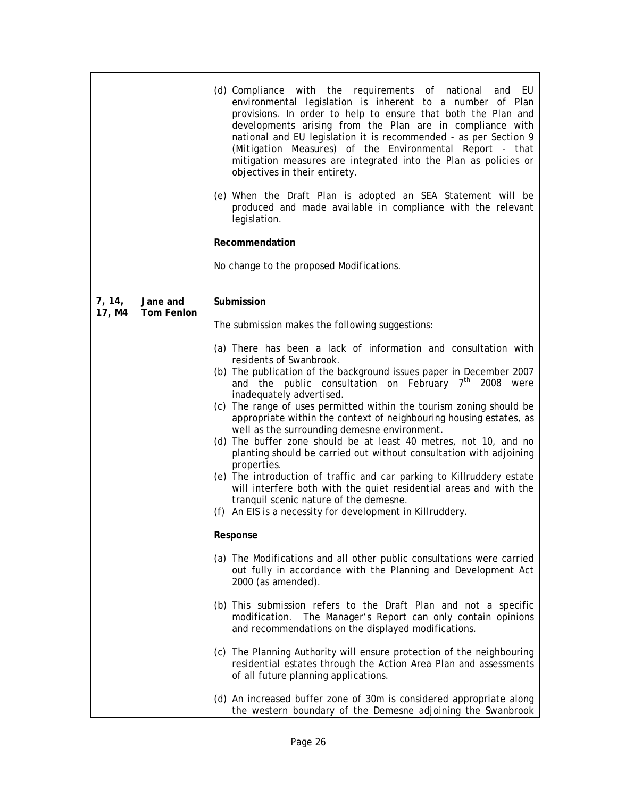|                  |                               | (d) Compliance with the requirements of national and EU<br>environmental legislation is inherent to a number of Plan<br>provisions. In order to help to ensure that both the Plan and<br>developments arising from the Plan are in compliance with<br>national and EU legislation it is recommended - as per Section 9<br>(Mitigation Measures) of the Environmental Report - that<br>mitigation measures are integrated into the Plan as policies or<br>objectives in their entirety.<br>(e) When the Draft Plan is adopted an SEA Statement will be<br>produced and made available in compliance with the relevant<br>legislation.<br>Recommendation<br>No change to the proposed Modifications.                                                                                                                                                                                                                                                                                                                                                                                                                                                                                                                                                 |
|------------------|-------------------------------|----------------------------------------------------------------------------------------------------------------------------------------------------------------------------------------------------------------------------------------------------------------------------------------------------------------------------------------------------------------------------------------------------------------------------------------------------------------------------------------------------------------------------------------------------------------------------------------------------------------------------------------------------------------------------------------------------------------------------------------------------------------------------------------------------------------------------------------------------------------------------------------------------------------------------------------------------------------------------------------------------------------------------------------------------------------------------------------------------------------------------------------------------------------------------------------------------------------------------------------------------|
| 7, 14,<br>17, M4 | Jane and<br><b>Tom Fenlon</b> | Submission<br>The submission makes the following suggestions:<br>(a) There has been a lack of information and consultation with<br>residents of Swanbrook.<br>(b) The publication of the background issues paper in December 2007<br>and the public consultation on February $7th$ 2008 were<br>inadequately advertised.<br>(c) The range of uses permitted within the tourism zoning should be<br>appropriate within the context of neighbouring housing estates, as<br>well as the surrounding demesne environment.<br>(d) The buffer zone should be at least 40 metres, not 10, and no<br>planting should be carried out without consultation with adjoining<br>properties.<br>(e) The introduction of traffic and car parking to Killruddery estate<br>will interfere both with the quiet residential areas and with the<br>tranquil scenic nature of the demesne.<br>(f) An EIS is a necessity for development in Killruddery.<br>Response<br>(a) The Modifications and all other public consultations were carried<br>out fully in accordance with the Planning and Development Act<br>2000 (as amended).<br>(b) This submission refers to the Draft Plan and not a specific<br>modification. The Manager's Report can only contain opinions |
|                  |                               | and recommendations on the displayed modifications.<br>(c) The Planning Authority will ensure protection of the neighbouring<br>residential estates through the Action Area Plan and assessments<br>of all future planning applications.<br>(d) An increased buffer zone of 30m is considered appropriate along                                                                                                                                                                                                                                                                                                                                                                                                                                                                                                                                                                                                                                                                                                                                                                                                                                                                                                                                    |
|                  |                               | the western boundary of the Demesne adjoining the Swanbrook                                                                                                                                                                                                                                                                                                                                                                                                                                                                                                                                                                                                                                                                                                                                                                                                                                                                                                                                                                                                                                                                                                                                                                                        |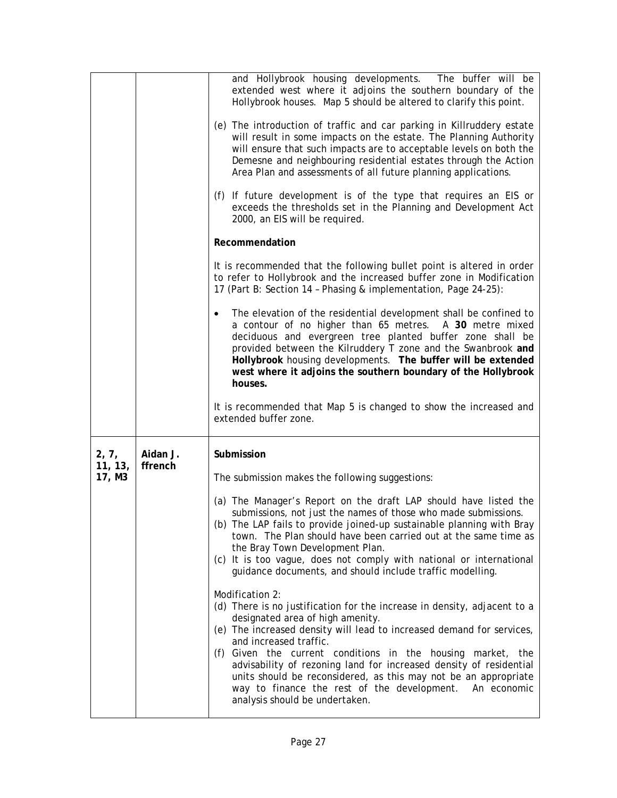|                            |                     | and Hollybrook housing developments. The buffer will be<br>extended west where it adjoins the southern boundary of the<br>Hollybrook houses. Map 5 should be altered to clarify this point.<br>(e) The introduction of traffic and car parking in Killruddery estate<br>will result in some impacts on the estate. The Planning Authority<br>will ensure that such impacts are to acceptable levels on both the<br>Demesne and neighbouring residential estates through the Action<br>Area Plan and assessments of all future planning applications.<br>(f) If future development is of the type that requires an EIS or<br>exceeds the thresholds set in the Planning and Development Act<br>2000, an EIS will be required.<br>Recommendation<br>It is recommended that the following bullet point is altered in order<br>to refer to Hollybrook and the increased buffer zone in Modification<br>17 (Part B: Section 14 - Phasing & implementation, Page 24-25):<br>The elevation of the residential development shall be confined to<br>a contour of no higher than 65 metres. A 30 metre mixed<br>deciduous and evergreen tree planted buffer zone shall be<br>provided between the Kilruddery T zone and the Swanbrook and<br>Hollybrook housing developments. The buffer will be extended<br>west where it adjoins the southern boundary of the Hollybrook<br>houses. |
|----------------------------|---------------------|-----------------------------------------------------------------------------------------------------------------------------------------------------------------------------------------------------------------------------------------------------------------------------------------------------------------------------------------------------------------------------------------------------------------------------------------------------------------------------------------------------------------------------------------------------------------------------------------------------------------------------------------------------------------------------------------------------------------------------------------------------------------------------------------------------------------------------------------------------------------------------------------------------------------------------------------------------------------------------------------------------------------------------------------------------------------------------------------------------------------------------------------------------------------------------------------------------------------------------------------------------------------------------------------------------------------------------------------------------------------------------|
|                            |                     | It is recommended that Map 5 is changed to show the increased and<br>extended buffer zone.                                                                                                                                                                                                                                                                                                                                                                                                                                                                                                                                                                                                                                                                                                                                                                                                                                                                                                                                                                                                                                                                                                                                                                                                                                                                                  |
| 2, 7,<br>11, 13,<br>17, M3 | Aidan J.<br>ffrench | Submission<br>The submission makes the following suggestions:<br>(a) The Manager's Report on the draft LAP should have listed the<br>submissions, not just the names of those who made submissions.<br>(b) The LAP fails to provide joined-up sustainable planning with Bray<br>town. The Plan should have been carried out at the same time as<br>the Bray Town Development Plan.<br>(c) It is too vague, does not comply with national or international<br>guidance documents, and should include traffic modelling.<br>Modification 2:<br>(d) There is no justification for the increase in density, adjacent to a<br>designated area of high amenity.<br>(e) The increased density will lead to increased demand for services,<br>and increased traffic.<br>(f) Given the current conditions in the housing market, the<br>advisability of rezoning land for increased density of residential<br>units should be reconsidered, as this may not be an appropriate<br>way to finance the rest of the development.<br>An economic<br>analysis should be undertaken.                                                                                                                                                                                                                                                                                                        |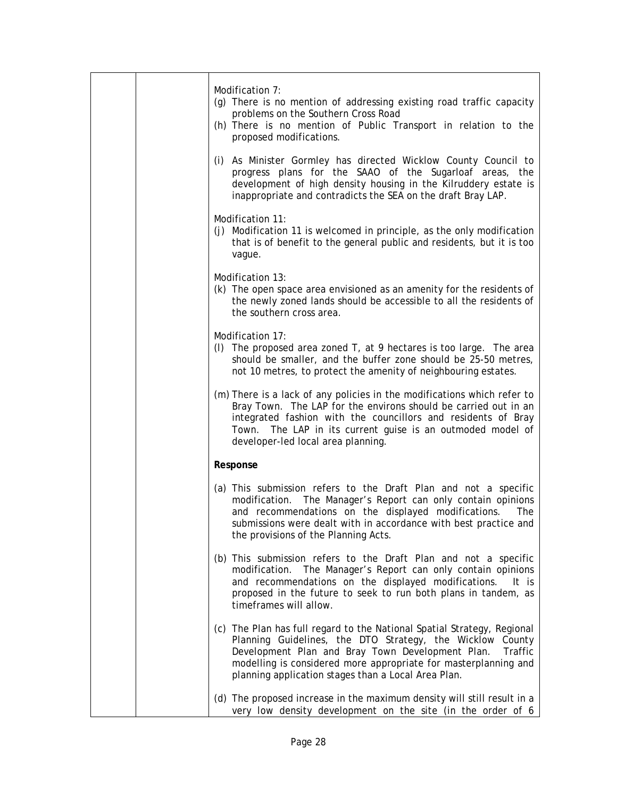|  | Modification 7:<br>(g) There is no mention of addressing existing road traffic capacity<br>problems on the Southern Cross Road<br>(h) There is no mention of Public Transport in relation to the<br>proposed modifications.                                                                                                   |
|--|-------------------------------------------------------------------------------------------------------------------------------------------------------------------------------------------------------------------------------------------------------------------------------------------------------------------------------|
|  | (i) As Minister Gormley has directed Wicklow County Council to<br>progress plans for the SAAO of the Sugarloaf areas, the<br>development of high density housing in the Kilruddery estate is<br>inappropriate and contradicts the SEA on the draft Bray LAP.                                                                  |
|  | Modification 11:<br>(j) Modification 11 is welcomed in principle, as the only modification<br>that is of benefit to the general public and residents, but it is too<br>vague.                                                                                                                                                 |
|  | Modification 13:<br>(k) The open space area envisioned as an amenity for the residents of<br>the newly zoned lands should be accessible to all the residents of<br>the southern cross area.                                                                                                                                   |
|  | Modification 17:<br>(I) The proposed area zoned $T$ , at 9 hectares is too large. The area<br>should be smaller, and the buffer zone should be 25-50 metres,<br>not 10 metres, to protect the amenity of neighbouring estates.                                                                                                |
|  | (m) There is a lack of any policies in the modifications which refer to<br>Bray Town. The LAP for the environs should be carried out in an<br>integrated fashion with the councillors and residents of Bray<br>Town. The LAP in its current guise is an outmoded model of<br>developer-led local area planning.               |
|  | Response                                                                                                                                                                                                                                                                                                                      |
|  | (a) This submission refers to the Draft Plan and not a specific<br>modification. The Manager's Report can only contain opinions<br>and recommendations on the displayed modifications.<br>The<br>submissions were dealt with in accordance with best practice and<br>the provisions of the Planning Acts.                     |
|  | (b) This submission refers to the Draft Plan and not a specific<br>modification. The Manager's Report can only contain opinions<br>and recommendations on the displayed modifications.<br>It is<br>proposed in the future to seek to run both plans in tandem, as<br>timeframes will allow.                                   |
|  | (c) The Plan has full regard to the National Spatial Strategy, Regional<br>Planning Guidelines, the DTO Strategy, the Wicklow County<br>Development Plan and Bray Town Development Plan.<br>Traffic<br>modelling is considered more appropriate for masterplanning and<br>planning application stages than a Local Area Plan. |
|  | (d) The proposed increase in the maximum density will still result in a<br>very low density development on the site (in the order of 6                                                                                                                                                                                        |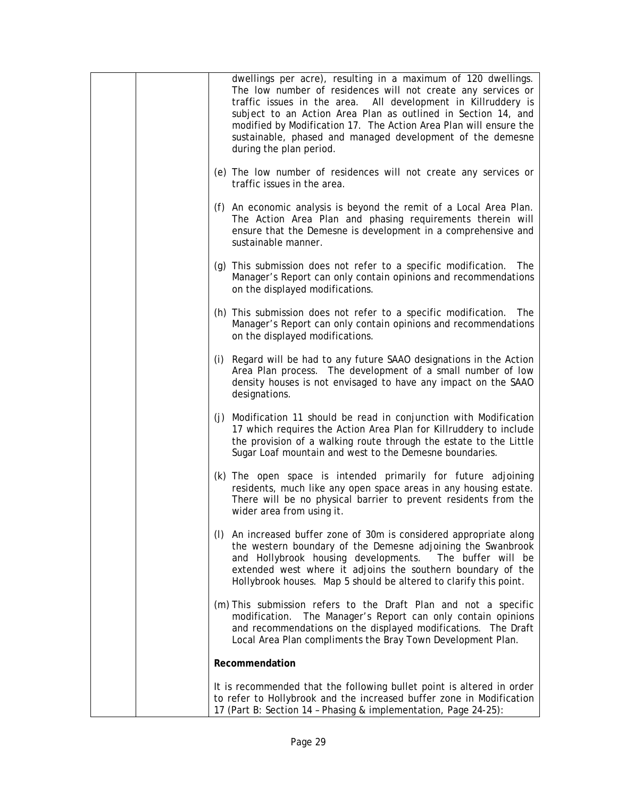|  | dwellings per acre), resulting in a maximum of 120 dwellings.<br>The low number of residences will not create any services or<br>traffic issues in the area. All development in Killruddery is<br>subject to an Action Area Plan as outlined in Section 14, and<br>modified by Modification 17. The Action Area Plan will ensure the<br>sustainable, phased and managed development of the demesne<br>during the plan period. |
|--|-------------------------------------------------------------------------------------------------------------------------------------------------------------------------------------------------------------------------------------------------------------------------------------------------------------------------------------------------------------------------------------------------------------------------------|
|  | (e) The low number of residences will not create any services or<br>traffic issues in the area.                                                                                                                                                                                                                                                                                                                               |
|  | (f) An economic analysis is beyond the remit of a Local Area Plan.<br>The Action Area Plan and phasing requirements therein will<br>ensure that the Demesne is development in a comprehensive and<br>sustainable manner.                                                                                                                                                                                                      |
|  | (g) This submission does not refer to a specific modification. The<br>Manager's Report can only contain opinions and recommendations<br>on the displayed modifications.                                                                                                                                                                                                                                                       |
|  | (h) This submission does not refer to a specific modification. The<br>Manager's Report can only contain opinions and recommendations<br>on the displayed modifications.                                                                                                                                                                                                                                                       |
|  | (i) Regard will be had to any future SAAO designations in the Action<br>Area Plan process. The development of a small number of low<br>density houses is not envisaged to have any impact on the SAAO<br>designations.                                                                                                                                                                                                        |
|  | (j) Modification 11 should be read in conjunction with Modification<br>17 which requires the Action Area Plan for Killruddery to include<br>the provision of a walking route through the estate to the Little<br>Sugar Loaf mountain and west to the Demesne boundaries.                                                                                                                                                      |
|  | (k) The open space is intended primarily for future adjoining<br>residents, much like any open space areas in any housing estate.<br>There will be no physical barrier to prevent residents from the<br>wider area from using it.                                                                                                                                                                                             |
|  | (I) An increased buffer zone of 30m is considered appropriate along<br>the western boundary of the Demesne adjoining the Swanbrook<br>and Hollybrook housing developments. The buffer will be<br>extended west where it adjoins the southern boundary of the<br>Hollybrook houses. Map 5 should be altered to clarify this point.                                                                                             |
|  | (m) This submission refers to the Draft Plan and not a specific<br>modification. The Manager's Report can only contain opinions<br>and recommendations on the displayed modifications. The Draft<br>Local Area Plan compliments the Bray Town Development Plan.                                                                                                                                                               |
|  | Recommendation                                                                                                                                                                                                                                                                                                                                                                                                                |
|  | It is recommended that the following bullet point is altered in order<br>to refer to Hollybrook and the increased buffer zone in Modification<br>17 (Part B: Section 14 - Phasing & implementation, Page 24-25):                                                                                                                                                                                                              |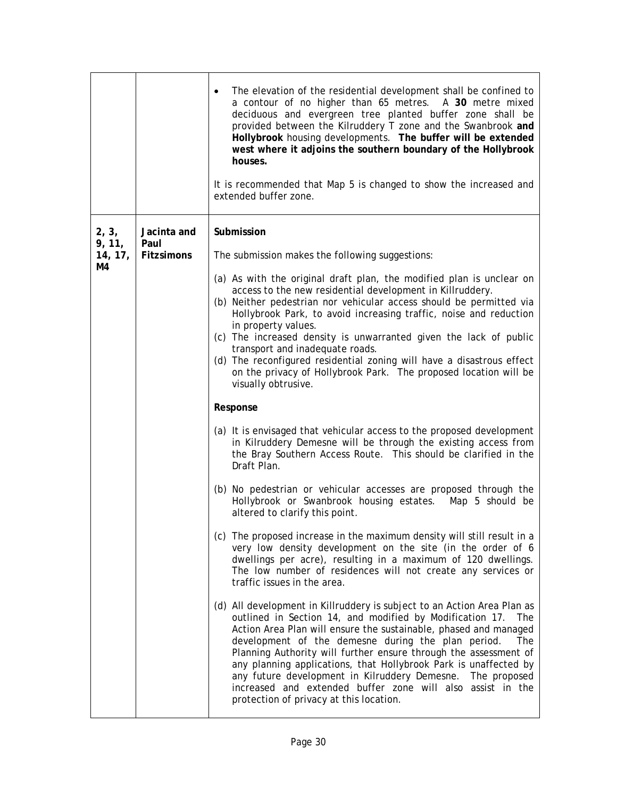|                                  |                                          | The elevation of the residential development shall be confined to<br>a contour of no higher than 65 metres. A 30 metre mixed<br>deciduous and evergreen tree planted buffer zone shall be<br>provided between the Kilruddery T zone and the Swanbrook and<br>Hollybrook housing developments. The buffer will be extended<br>west where it adjoins the southern boundary of the Hollybrook<br>houses.<br>It is recommended that Map 5 is changed to show the increased and<br>extended buffer zone.                                                                                     |
|----------------------------------|------------------------------------------|-----------------------------------------------------------------------------------------------------------------------------------------------------------------------------------------------------------------------------------------------------------------------------------------------------------------------------------------------------------------------------------------------------------------------------------------------------------------------------------------------------------------------------------------------------------------------------------------|
| 2, 3,<br>9, 11,<br>14, 17,<br>M4 | Jacinta and<br>Paul<br><b>Fitzsimons</b> | Submission<br>The submission makes the following suggestions:<br>(a) As with the original draft plan, the modified plan is unclear on                                                                                                                                                                                                                                                                                                                                                                                                                                                   |
|                                  |                                          | access to the new residential development in Killruddery.<br>(b) Neither pedestrian nor vehicular access should be permitted via<br>Hollybrook Park, to avoid increasing traffic, noise and reduction<br>in property values.<br>(c) The increased density is unwarranted given the lack of public<br>transport and inadequate roads.                                                                                                                                                                                                                                                    |
|                                  |                                          | (d) The reconfigured residential zoning will have a disastrous effect<br>on the privacy of Hollybrook Park. The proposed location will be<br>visually obtrusive.                                                                                                                                                                                                                                                                                                                                                                                                                        |
|                                  |                                          | Response                                                                                                                                                                                                                                                                                                                                                                                                                                                                                                                                                                                |
|                                  |                                          | (a) It is envisaged that vehicular access to the proposed development<br>in Kilruddery Demesne will be through the existing access from<br>the Bray Southern Access Route. This should be clarified in the<br>Draft Plan.                                                                                                                                                                                                                                                                                                                                                               |
|                                  |                                          | (b) No pedestrian or vehicular accesses are proposed through the<br>Hollybrook or Swanbrook housing estates.<br>Map 5 should be<br>altered to clarify this point.                                                                                                                                                                                                                                                                                                                                                                                                                       |
|                                  |                                          | (c) The proposed increase in the maximum density will still result in a<br>very low density development on the site (in the order of 6<br>dwellings per acre), resulting in a maximum of 120 dwellings.<br>The low number of residences will not create any services or<br>traffic issues in the area.                                                                                                                                                                                                                                                                                  |
|                                  |                                          | (d) All development in Killruddery is subject to an Action Area Plan as<br>outlined in Section 14, and modified by Modification 17. The<br>Action Area Plan will ensure the sustainable, phased and managed<br>development of the demesne during the plan period.<br>The<br>Planning Authority will further ensure through the assessment of<br>any planning applications, that Hollybrook Park is unaffected by<br>any future development in Kilruddery Demesne. The proposed<br>increased and extended buffer zone will also assist in the<br>protection of privacy at this location. |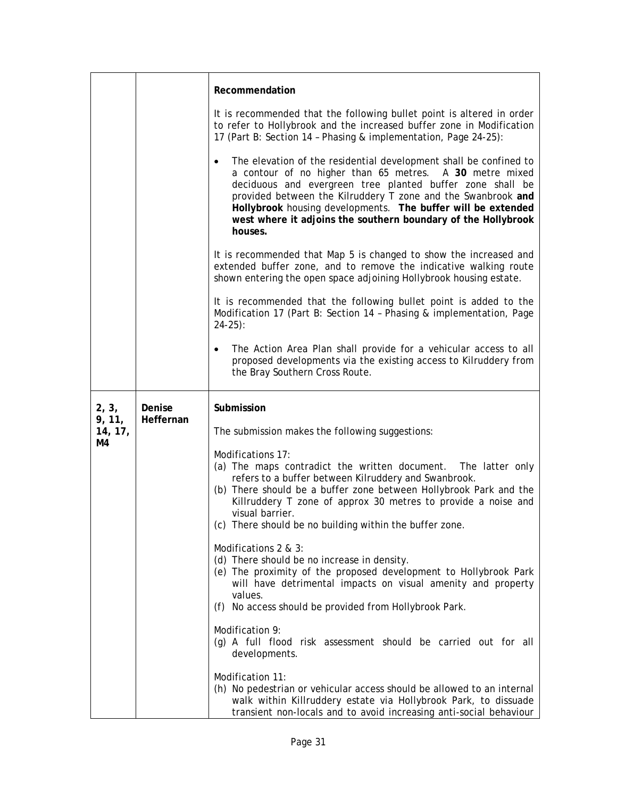|                   |           | Recommendation                                                                                                                                                                                                                                                                                                                                                                                                     |
|-------------------|-----------|--------------------------------------------------------------------------------------------------------------------------------------------------------------------------------------------------------------------------------------------------------------------------------------------------------------------------------------------------------------------------------------------------------------------|
|                   |           | It is recommended that the following bullet point is altered in order<br>to refer to Hollybrook and the increased buffer zone in Modification<br>17 (Part B: Section 14 - Phasing & implementation, Page 24-25):                                                                                                                                                                                                   |
|                   |           | The elevation of the residential development shall be confined to<br>$\bullet$<br>a contour of no higher than 65 metres. A 30 metre mixed<br>deciduous and evergreen tree planted buffer zone shall be<br>provided between the Kilruddery T zone and the Swanbrook and<br>Hollybrook housing developments. The buffer will be extended<br>west where it adjoins the southern boundary of the Hollybrook<br>houses. |
|                   |           | It is recommended that Map 5 is changed to show the increased and<br>extended buffer zone, and to remove the indicative walking route<br>shown entering the open space adjoining Hollybrook housing estate.                                                                                                                                                                                                        |
|                   |           | It is recommended that the following bullet point is added to the<br>Modification 17 (Part B: Section 14 - Phasing & implementation, Page<br>$24-25$ :                                                                                                                                                                                                                                                             |
|                   |           | The Action Area Plan shall provide for a vehicular access to all<br>proposed developments via the existing access to Kilruddery from<br>the Bray Southern Cross Route.                                                                                                                                                                                                                                             |
| 2, 3,             | Denise    | Submission                                                                                                                                                                                                                                                                                                                                                                                                         |
| 9, 11,<br>14, 17, | Heffernan | The submission makes the following suggestions:                                                                                                                                                                                                                                                                                                                                                                    |
| M4                |           | Modifications 17:<br>(a) The maps contradict the written document. The latter only<br>refers to a buffer between Kilruddery and Swanbrook.<br>(b) There should be a buffer zone between Hollybrook Park and the<br>Killruddery T zone of approx 30 metres to provide a noise and<br>visual barrier.<br>(c) There should be no building within the buffer zone.                                                     |
|                   |           | Modifications 2 & 3:<br>(d) There should be no increase in density.<br>(e) The proximity of the proposed development to Hollybrook Park<br>will have detrimental impacts on visual amenity and property<br>values.<br>(f) No access should be provided from Hollybrook Park.                                                                                                                                       |
|                   |           | Modification 9:<br>(g) A full flood risk assessment should be carried out for all<br>developments.                                                                                                                                                                                                                                                                                                                 |
|                   |           | Modification 11:<br>(h) No pedestrian or vehicular access should be allowed to an internal<br>walk within Killruddery estate via Hollybrook Park, to dissuade<br>transient non-locals and to avoid increasing anti-social behaviour                                                                                                                                                                                |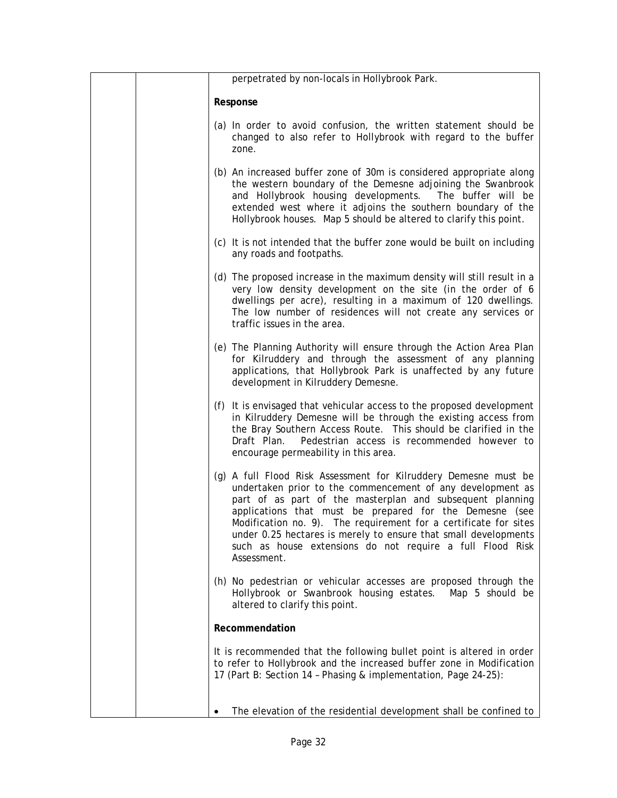|  | perpetrated by non-locals in Hollybrook Park.                                                                                                                                                                                                                                                                                                                                                                                                                            |
|--|--------------------------------------------------------------------------------------------------------------------------------------------------------------------------------------------------------------------------------------------------------------------------------------------------------------------------------------------------------------------------------------------------------------------------------------------------------------------------|
|  | Response                                                                                                                                                                                                                                                                                                                                                                                                                                                                 |
|  | (a) In order to avoid confusion, the written statement should be<br>changed to also refer to Hollybrook with regard to the buffer<br>zone.                                                                                                                                                                                                                                                                                                                               |
|  | (b) An increased buffer zone of 30m is considered appropriate along<br>the western boundary of the Demesne adjoining the Swanbrook<br>and Hollybrook housing developments. The buffer will be<br>extended west where it adjoins the southern boundary of the<br>Hollybrook houses. Map 5 should be altered to clarify this point.                                                                                                                                        |
|  | (c) It is not intended that the buffer zone would be built on including<br>any roads and footpaths.                                                                                                                                                                                                                                                                                                                                                                      |
|  | (d) The proposed increase in the maximum density will still result in a<br>very low density development on the site (in the order of 6<br>dwellings per acre), resulting in a maximum of 120 dwellings.<br>The low number of residences will not create any services or<br>traffic issues in the area.                                                                                                                                                                   |
|  | (e) The Planning Authority will ensure through the Action Area Plan<br>for Kilruddery and through the assessment of any planning<br>applications, that Hollybrook Park is unaffected by any future<br>development in Kilruddery Demesne.                                                                                                                                                                                                                                 |
|  | (f) It is envisaged that vehicular access to the proposed development<br>in Kilruddery Demesne will be through the existing access from<br>the Bray Southern Access Route. This should be clarified in the<br>Pedestrian access is recommended however to<br>Draft Plan.<br>encourage permeability in this area.                                                                                                                                                         |
|  | (g) A full Flood Risk Assessment for Kilruddery Demesne must be<br>undertaken prior to the commencement of any development as<br>part of as part of the masterplan and subsequent planning<br>applications that must be prepared for the Demesne (see<br>Modification no. 9). The requirement for a certificate for sites<br>under 0.25 hectares is merely to ensure that small developments<br>such as house extensions do not require a full Flood Risk<br>Assessment. |
|  | (h) No pedestrian or vehicular accesses are proposed through the<br>Hollybrook or Swanbrook housing estates.<br>Map 5 should be<br>altered to clarify this point.                                                                                                                                                                                                                                                                                                        |
|  | Recommendation                                                                                                                                                                                                                                                                                                                                                                                                                                                           |
|  | It is recommended that the following bullet point is altered in order<br>to refer to Hollybrook and the increased buffer zone in Modification<br>17 (Part B: Section 14 - Phasing & implementation, Page 24-25):                                                                                                                                                                                                                                                         |
|  | The elevation of the residential development shall be confined to                                                                                                                                                                                                                                                                                                                                                                                                        |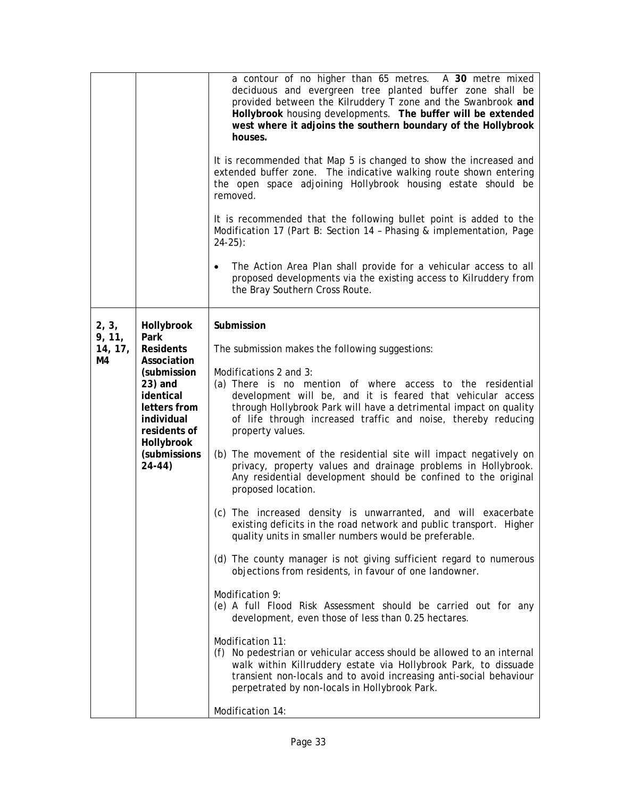|                                  |                                                                                                                                                                                      | a contour of no higher than 65 metres. A 30 metre mixed<br>deciduous and evergreen tree planted buffer zone shall be<br>provided between the Kilruddery T zone and the Swanbrook and<br>Hollybrook housing developments. The buffer will be extended<br>west where it adjoins the southern boundary of the Hollybrook<br>houses.<br>It is recommended that Map 5 is changed to show the increased and<br>extended buffer zone. The indicative walking route shown entering<br>the open space adjoining Hollybrook housing estate should be<br>removed.<br>It is recommended that the following bullet point is added to the<br>Modification 17 (Part B: Section 14 - Phasing & implementation, Page<br>$24-25$ :<br>The Action Area Plan shall provide for a vehicular access to all<br>proposed developments via the existing access to Kilruddery from<br>the Bray Southern Cross Route.                                                                                                                                                                                                                                                                                                                                                                                                                                                                                                            |
|----------------------------------|--------------------------------------------------------------------------------------------------------------------------------------------------------------------------------------|-------------------------------------------------------------------------------------------------------------------------------------------------------------------------------------------------------------------------------------------------------------------------------------------------------------------------------------------------------------------------------------------------------------------------------------------------------------------------------------------------------------------------------------------------------------------------------------------------------------------------------------------------------------------------------------------------------------------------------------------------------------------------------------------------------------------------------------------------------------------------------------------------------------------------------------------------------------------------------------------------------------------------------------------------------------------------------------------------------------------------------------------------------------------------------------------------------------------------------------------------------------------------------------------------------------------------------------------------------------------------------------------------------|
| 2, 3,<br>9, 11,<br>14, 17,<br>M4 | Hollybrook<br>Park<br><b>Residents</b><br>Association<br>(submission<br>$23)$ and<br>identical<br>letters from<br>individual<br>residents of<br>Hollybrook<br>(submissions<br>24-44) | Submission<br>The submission makes the following suggestions:<br>Modifications 2 and 3:<br>(a) There is no mention of where access to the residential<br>development will be, and it is feared that vehicular access<br>through Hollybrook Park will have a detrimental impact on quality<br>of life through increased traffic and noise, thereby reducing<br>property values.<br>(b) The movement of the residential site will impact negatively on<br>privacy, property values and drainage problems in Hollybrook.<br>Any residential development should be confined to the original<br>proposed location.<br>(c) The increased density is unwarranted, and will exacerbate<br>existing deficits in the road network and public transport. Higher<br>quality units in smaller numbers would be preferable.<br>(d) The county manager is not giving sufficient regard to numerous<br>objections from residents, in favour of one landowner.<br>Modification 9:<br>(e) A full Flood Risk Assessment should be carried out for any<br>development, even those of less than 0.25 hectares.<br>Modification 11:<br>(f) No pedestrian or vehicular access should be allowed to an internal<br>walk within Killruddery estate via Hollybrook Park, to dissuade<br>transient non-locals and to avoid increasing anti-social behaviour<br>perpetrated by non-locals in Hollybrook Park.<br>Modification 14: |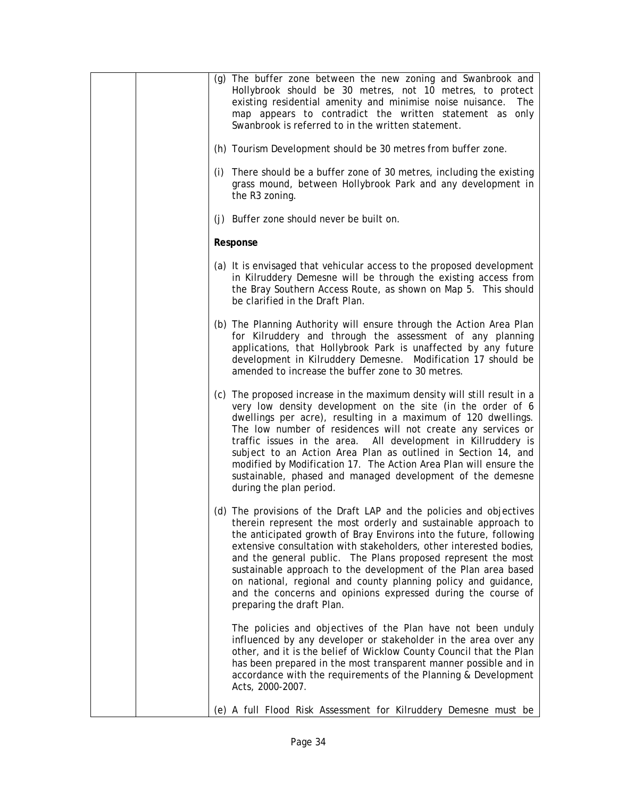| (g) The buffer zone between the new zoning and Swanbrook and<br>Hollybrook should be 30 metres, not 10 metres, to protect<br>existing residential amenity and minimise noise nuisance.<br>The<br>map appears to contradict the written statement as only<br>Swanbrook is referred to in the written statement.                                                                                                                                                                                                                                                                      |
|-------------------------------------------------------------------------------------------------------------------------------------------------------------------------------------------------------------------------------------------------------------------------------------------------------------------------------------------------------------------------------------------------------------------------------------------------------------------------------------------------------------------------------------------------------------------------------------|
| (h) Tourism Development should be 30 metres from buffer zone.                                                                                                                                                                                                                                                                                                                                                                                                                                                                                                                       |
| (i) There should be a buffer zone of 30 metres, including the existing<br>grass mound, between Hollybrook Park and any development in<br>the R3 zoning.                                                                                                                                                                                                                                                                                                                                                                                                                             |
| (j) Buffer zone should never be built on.                                                                                                                                                                                                                                                                                                                                                                                                                                                                                                                                           |
| Response                                                                                                                                                                                                                                                                                                                                                                                                                                                                                                                                                                            |
| (a) It is envisaged that vehicular access to the proposed development<br>in Kilruddery Demesne will be through the existing access from<br>the Bray Southern Access Route, as shown on Map 5. This should<br>be clarified in the Draft Plan.                                                                                                                                                                                                                                                                                                                                        |
| (b) The Planning Authority will ensure through the Action Area Plan<br>for Kilruddery and through the assessment of any planning<br>applications, that Hollybrook Park is unaffected by any future<br>development in Kilruddery Demesne. Modification 17 should be<br>amended to increase the buffer zone to 30 metres.                                                                                                                                                                                                                                                             |
| (c) The proposed increase in the maximum density will still result in a<br>very low density development on the site (in the order of 6<br>dwellings per acre), resulting in a maximum of 120 dwellings.<br>The low number of residences will not create any services or<br>traffic issues in the area. All development in Killruddery is<br>subject to an Action Area Plan as outlined in Section 14, and<br>modified by Modification 17. The Action Area Plan will ensure the<br>sustainable, phased and managed development of the demesne<br>during the plan period.             |
| (d) The provisions of the Draft LAP and the policies and objectives<br>therein represent the most orderly and sustainable approach to<br>the anticipated growth of Bray Environs into the future, following<br>extensive consultation with stakeholders, other interested bodies,<br>and the general public. The Plans proposed represent the most<br>sustainable approach to the development of the Plan area based<br>on national, regional and county planning policy and guidance,<br>and the concerns and opinions expressed during the course of<br>preparing the draft Plan. |
| The policies and objectives of the Plan have not been unduly<br>influenced by any developer or stakeholder in the area over any<br>other, and it is the belief of Wicklow County Council that the Plan<br>has been prepared in the most transparent manner possible and in<br>accordance with the requirements of the Planning & Development<br>Acts, 2000-2007.                                                                                                                                                                                                                    |
| (e) A full Flood Risk Assessment for Kilruddery Demesne must be                                                                                                                                                                                                                                                                                                                                                                                                                                                                                                                     |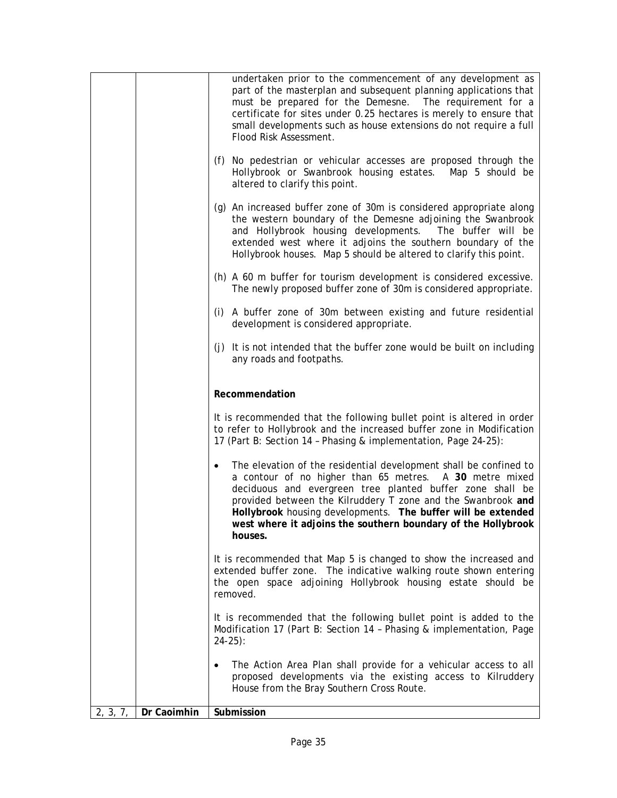|          |             | undertaken prior to the commencement of any development as<br>part of the masterplan and subsequent planning applications that<br>must be prepared for the Demesne. The requirement for a<br>certificate for sites under 0.25 hectares is merely to ensure that<br>small developments such as house extensions do not require a full<br>Flood Risk Assessment.                                                     |
|----------|-------------|--------------------------------------------------------------------------------------------------------------------------------------------------------------------------------------------------------------------------------------------------------------------------------------------------------------------------------------------------------------------------------------------------------------------|
|          |             | (f) No pedestrian or vehicular accesses are proposed through the<br>Hollybrook or Swanbrook housing estates. Map 5 should be<br>altered to clarify this point.                                                                                                                                                                                                                                                     |
|          |             | (g) An increased buffer zone of 30m is considered appropriate along<br>the western boundary of the Demesne adjoining the Swanbrook<br>and Hollybrook housing developments. The buffer will be<br>extended west where it adjoins the southern boundary of the<br>Hollybrook houses. Map 5 should be altered to clarify this point.                                                                                  |
|          |             | (h) A 60 m buffer for tourism development is considered excessive.<br>The newly proposed buffer zone of 30m is considered appropriate.                                                                                                                                                                                                                                                                             |
|          |             | (i) A buffer zone of 30m between existing and future residential<br>development is considered appropriate.                                                                                                                                                                                                                                                                                                         |
|          |             | (j) It is not intended that the buffer zone would be built on including<br>any roads and footpaths.                                                                                                                                                                                                                                                                                                                |
|          |             | Recommendation                                                                                                                                                                                                                                                                                                                                                                                                     |
|          |             | It is recommended that the following bullet point is altered in order<br>to refer to Hollybrook and the increased buffer zone in Modification<br>17 (Part B: Section 14 - Phasing & implementation, Page 24-25):                                                                                                                                                                                                   |
|          |             | The elevation of the residential development shall be confined to<br>$\bullet$<br>a contour of no higher than 65 metres. A 30 metre mixed<br>deciduous and evergreen tree planted buffer zone shall be<br>provided between the Kilruddery T zone and the Swanbrook and<br>Hollybrook housing developments. The buffer will be extended<br>west where it adjoins the southern boundary of the Hollybrook<br>houses. |
|          |             | It is recommended that Map 5 is changed to show the increased and<br>extended buffer zone. The indicative walking route shown entering<br>the open space adjoining Hollybrook housing estate should be<br>removed.                                                                                                                                                                                                 |
|          |             | It is recommended that the following bullet point is added to the<br>Modification 17 (Part B: Section 14 - Phasing & implementation, Page<br>$24-25$ :                                                                                                                                                                                                                                                             |
|          |             | The Action Area Plan shall provide for a vehicular access to all<br>$\bullet$<br>proposed developments via the existing access to Kilruddery<br>House from the Bray Southern Cross Route.                                                                                                                                                                                                                          |
| 2, 3, 7, | Dr Caoimhin | Submission                                                                                                                                                                                                                                                                                                                                                                                                         |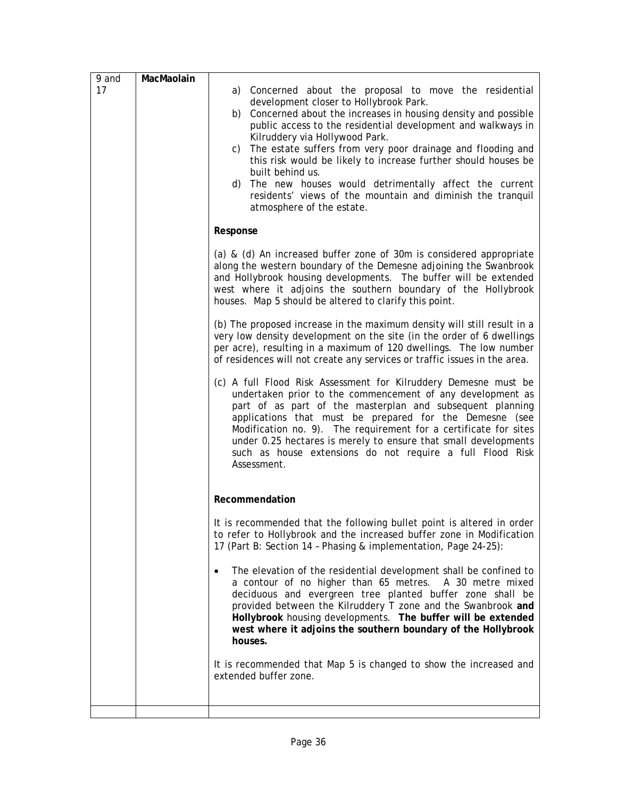| 9 and | MacMaolain |                                                                                                                                                                                                                                                                                                                                                                                                                                                                                                                                                                                              |
|-------|------------|----------------------------------------------------------------------------------------------------------------------------------------------------------------------------------------------------------------------------------------------------------------------------------------------------------------------------------------------------------------------------------------------------------------------------------------------------------------------------------------------------------------------------------------------------------------------------------------------|
| 17    |            | a) Concerned about the proposal to move the residential<br>development closer to Hollybrook Park.<br>b) Concerned about the increases in housing density and possible<br>public access to the residential development and walkways in<br>Kilruddery via Hollywood Park.<br>The estate suffers from very poor drainage and flooding and<br>c)<br>this risk would be likely to increase further should houses be<br>built behind us.<br>The new houses would detrimentally affect the current<br>d)<br>residents' views of the mountain and diminish the tranquil<br>atmosphere of the estate. |
|       |            | Response                                                                                                                                                                                                                                                                                                                                                                                                                                                                                                                                                                                     |
|       |            | (a) & (d) An increased buffer zone of 30m is considered appropriate<br>along the western boundary of the Demesne adjoining the Swanbrook<br>and Hollybrook housing developments. The buffer will be extended<br>west where it adjoins the southern boundary of the Hollybrook<br>houses. Map 5 should be altered to clarify this point.                                                                                                                                                                                                                                                      |
|       |            | (b) The proposed increase in the maximum density will still result in a<br>very low density development on the site (in the order of 6 dwellings<br>per acre), resulting in a maximum of 120 dwellings. The low number<br>of residences will not create any services or traffic issues in the area.                                                                                                                                                                                                                                                                                          |
|       |            | (c) A full Flood Risk Assessment for Kilruddery Demesne must be<br>undertaken prior to the commencement of any development as<br>part of as part of the masterplan and subsequent planning<br>applications that must be prepared for the Demesne (see<br>Modification no. 9). The requirement for a certificate for sites<br>under 0.25 hectares is merely to ensure that small developments<br>such as house extensions do not require a full Flood Risk<br>Assessment.                                                                                                                     |
|       |            | Recommendation                                                                                                                                                                                                                                                                                                                                                                                                                                                                                                                                                                               |
|       |            | It is recommended that the following bullet point is altered in order<br>to refer to Hollybrook and the increased buffer zone in Modification<br>17 (Part B: Section 14 - Phasing & implementation, Page 24-25):                                                                                                                                                                                                                                                                                                                                                                             |
|       |            | The elevation of the residential development shall be confined to<br>$\bullet$<br>a contour of no higher than 65 metres. A 30 metre mixed<br>deciduous and evergreen tree planted buffer zone shall be<br>provided between the Kilruddery T zone and the Swanbrook and<br>Hollybrook housing developments. The buffer will be extended<br>west where it adjoins the southern boundary of the Hollybrook<br>houses.                                                                                                                                                                           |
|       |            | It is recommended that Map 5 is changed to show the increased and<br>extended buffer zone.                                                                                                                                                                                                                                                                                                                                                                                                                                                                                                   |
|       |            |                                                                                                                                                                                                                                                                                                                                                                                                                                                                                                                                                                                              |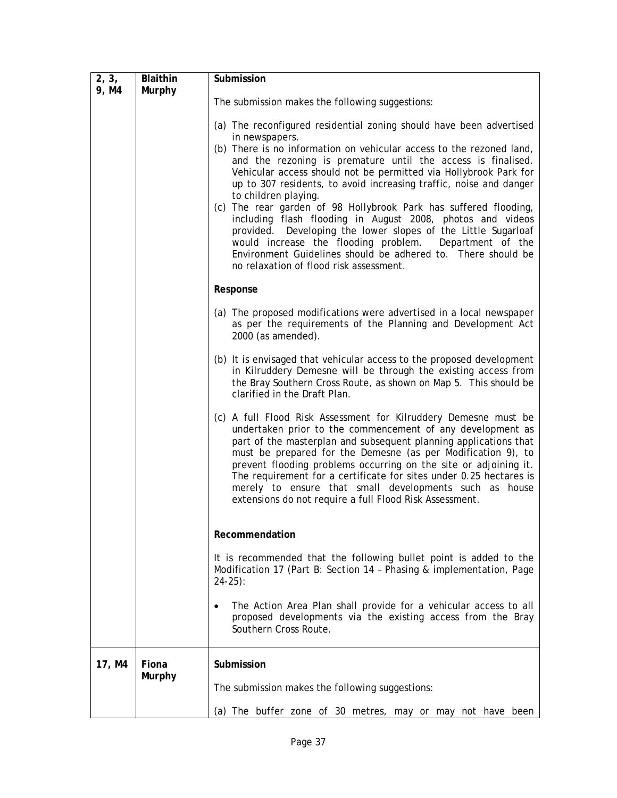| 2, 3,  | Blaithin      | Submission                                                                                                                                                                                                                                                                                                                                                                                                                                                                                                                                                                                                                                                                           |
|--------|---------------|--------------------------------------------------------------------------------------------------------------------------------------------------------------------------------------------------------------------------------------------------------------------------------------------------------------------------------------------------------------------------------------------------------------------------------------------------------------------------------------------------------------------------------------------------------------------------------------------------------------------------------------------------------------------------------------|
| 9, M4  | <b>Murphy</b> |                                                                                                                                                                                                                                                                                                                                                                                                                                                                                                                                                                                                                                                                                      |
|        |               | The submission makes the following suggestions:                                                                                                                                                                                                                                                                                                                                                                                                                                                                                                                                                                                                                                      |
|        |               | (a) The reconfigured residential zoning should have been advertised<br>in newspapers.                                                                                                                                                                                                                                                                                                                                                                                                                                                                                                                                                                                                |
|        |               | (b) There is no information on vehicular access to the rezoned land,<br>and the rezoning is premature until the access is finalised.<br>Vehicular access should not be permitted via Hollybrook Park for<br>up to 307 residents, to avoid increasing traffic, noise and danger<br>to children playing.<br>(c) The rear garden of 98 Hollybrook Park has suffered flooding,<br>including flash flooding in August 2008, photos and videos<br>Developing the lower slopes of the Little Sugarloaf<br>provided.<br>would increase the flooding problem.<br>Department of the<br>Environment Guidelines should be adhered to. There should be<br>no relaxation of flood risk assessment. |
|        |               | Response                                                                                                                                                                                                                                                                                                                                                                                                                                                                                                                                                                                                                                                                             |
|        |               | (a) The proposed modifications were advertised in a local newspaper<br>as per the requirements of the Planning and Development Act<br>2000 (as amended).                                                                                                                                                                                                                                                                                                                                                                                                                                                                                                                             |
|        |               | (b) It is envisaged that vehicular access to the proposed development<br>in Kilruddery Demesne will be through the existing access from<br>the Bray Southern Cross Route, as shown on Map 5. This should be<br>clarified in the Draft Plan.                                                                                                                                                                                                                                                                                                                                                                                                                                          |
|        |               | (c) A full Flood Risk Assessment for Kilruddery Demesne must be<br>undertaken prior to the commencement of any development as<br>part of the masterplan and subsequent planning applications that<br>must be prepared for the Demesne (as per Modification 9), to<br>prevent flooding problems occurring on the site or adjoining it.<br>The requirement for a certificate for sites under 0.25 hectares is<br>merely to ensure that small developments such as house<br>extensions do not require a full Flood Risk Assessment.                                                                                                                                                     |
|        |               | Recommendation                                                                                                                                                                                                                                                                                                                                                                                                                                                                                                                                                                                                                                                                       |
|        |               | It is recommended that the following bullet point is added to the<br>Modification 17 (Part B: Section 14 - Phasing & implementation, Page<br>$24-25$ :                                                                                                                                                                                                                                                                                                                                                                                                                                                                                                                               |
|        |               | The Action Area Plan shall provide for a vehicular access to all<br>$\bullet$<br>proposed developments via the existing access from the Bray<br>Southern Cross Route.                                                                                                                                                                                                                                                                                                                                                                                                                                                                                                                |
| 17, M4 | Fiona         | Submission                                                                                                                                                                                                                                                                                                                                                                                                                                                                                                                                                                                                                                                                           |
|        | Murphy        | The submission makes the following suggestions:                                                                                                                                                                                                                                                                                                                                                                                                                                                                                                                                                                                                                                      |
|        |               | (a) The buffer zone of 30 metres, may or may not have been                                                                                                                                                                                                                                                                                                                                                                                                                                                                                                                                                                                                                           |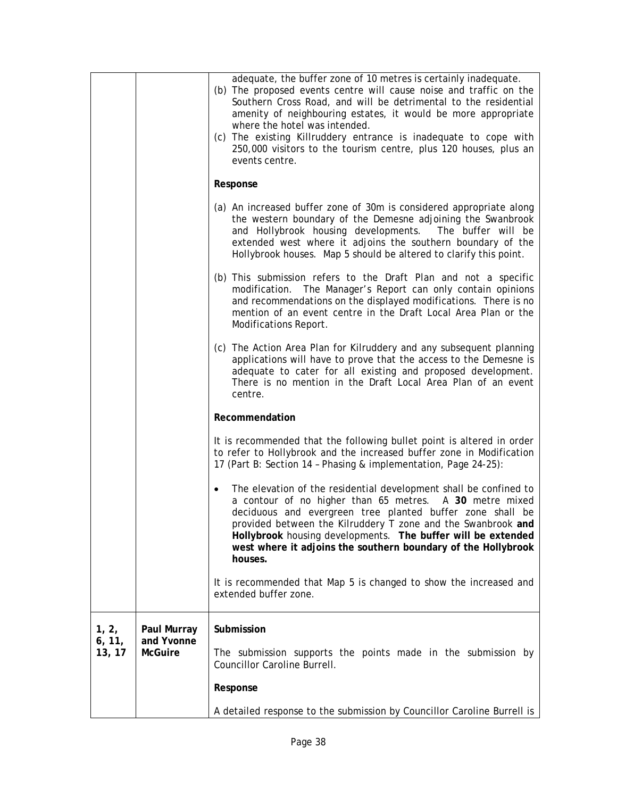|                  |                              | adequate, the buffer zone of 10 metres is certainly inadequate.<br>(b) The proposed events centre will cause noise and traffic on the<br>Southern Cross Road, and will be detrimental to the residential<br>amenity of neighbouring estates, it would be more appropriate<br>where the hotel was intended.<br>(c) The existing Killruddery entrance is inadequate to cope with<br>250,000 visitors to the tourism centre, plus 120 houses, plus an<br>events centre. |
|------------------|------------------------------|----------------------------------------------------------------------------------------------------------------------------------------------------------------------------------------------------------------------------------------------------------------------------------------------------------------------------------------------------------------------------------------------------------------------------------------------------------------------|
|                  |                              | Response                                                                                                                                                                                                                                                                                                                                                                                                                                                             |
|                  |                              | (a) An increased buffer zone of 30m is considered appropriate along<br>the western boundary of the Demesne adjoining the Swanbrook<br>and Hollybrook housing developments. The buffer will be<br>extended west where it adjoins the southern boundary of the<br>Hollybrook houses. Map 5 should be altered to clarify this point.                                                                                                                                    |
|                  |                              | (b) This submission refers to the Draft Plan and not a specific<br>modification. The Manager's Report can only contain opinions<br>and recommendations on the displayed modifications. There is no<br>mention of an event centre in the Draft Local Area Plan or the<br>Modifications Report.                                                                                                                                                                        |
|                  |                              | (c) The Action Area Plan for Kilruddery and any subsequent planning<br>applications will have to prove that the access to the Demesne is<br>adequate to cater for all existing and proposed development.<br>There is no mention in the Draft Local Area Plan of an event<br>centre.                                                                                                                                                                                  |
|                  |                              | Recommendation                                                                                                                                                                                                                                                                                                                                                                                                                                                       |
|                  |                              | It is recommended that the following bullet point is altered in order<br>to refer to Hollybrook and the increased buffer zone in Modification<br>17 (Part B: Section 14 - Phasing & implementation, Page 24-25):                                                                                                                                                                                                                                                     |
|                  |                              | The elevation of the residential development shall be confined to<br>a contour of no higher than 65 metres. A 30 metre mixed<br>deciduous and evergreen tree planted buffer zone shall be<br>provided between the Kilruddery T zone and the Swanbrook and<br>Hollybrook housing developments. The buffer will be extended<br>west where it adjoins the southern boundary of the Hollybrook<br>houses.                                                                |
|                  |                              | It is recommended that Map 5 is changed to show the increased and<br>extended buffer zone.                                                                                                                                                                                                                                                                                                                                                                           |
| 1, 2,            | Paul Murray                  | Submission                                                                                                                                                                                                                                                                                                                                                                                                                                                           |
| 6, 11,<br>13, 17 | and Yvonne<br><b>McGuire</b> | The submission supports the points made in the submission by<br>Councillor Caroline Burrell.                                                                                                                                                                                                                                                                                                                                                                         |
|                  |                              | Response                                                                                                                                                                                                                                                                                                                                                                                                                                                             |
|                  |                              | A detailed response to the submission by Councillor Caroline Burrell is                                                                                                                                                                                                                                                                                                                                                                                              |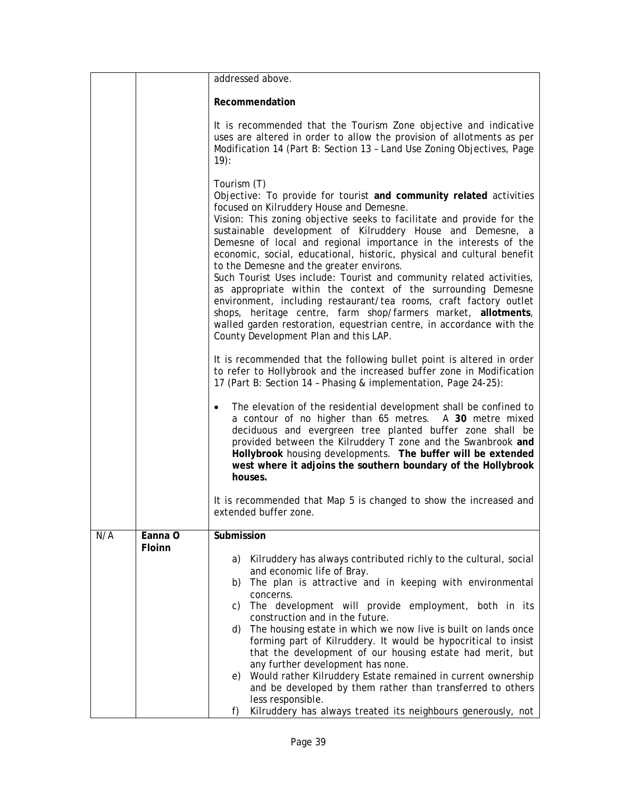|     |                   | addressed above.                                                                                                                                                                                                                                                                                                                                                                                                                                                                                                                                                                                                                                                                                                                                                                                                                                              |
|-----|-------------------|---------------------------------------------------------------------------------------------------------------------------------------------------------------------------------------------------------------------------------------------------------------------------------------------------------------------------------------------------------------------------------------------------------------------------------------------------------------------------------------------------------------------------------------------------------------------------------------------------------------------------------------------------------------------------------------------------------------------------------------------------------------------------------------------------------------------------------------------------------------|
|     |                   | Recommendation                                                                                                                                                                                                                                                                                                                                                                                                                                                                                                                                                                                                                                                                                                                                                                                                                                                |
|     |                   | It is recommended that the Tourism Zone objective and indicative<br>uses are altered in order to allow the provision of allotments as per<br>Modification 14 (Part B: Section 13 - Land Use Zoning Objectives, Page<br>$19)$ :                                                                                                                                                                                                                                                                                                                                                                                                                                                                                                                                                                                                                                |
|     |                   | Tourism (T)<br>Objective: To provide for tourist and community related activities<br>focused on Kilruddery House and Demesne.<br>Vision: This zoning objective seeks to facilitate and provide for the<br>sustainable development of Kilruddery House and Demesne, a<br>Demesne of local and regional importance in the interests of the<br>economic, social, educational, historic, physical and cultural benefit<br>to the Demesne and the greater environs.<br>Such Tourist Uses include: Tourist and community related activities,<br>as appropriate within the context of the surrounding Demesne<br>environment, including restaurant/tea rooms, craft factory outlet<br>shops, heritage centre, farm shop/farmers market, allotments,<br>walled garden restoration, equestrian centre, in accordance with the<br>County Development Plan and this LAP. |
|     |                   | It is recommended that the following bullet point is altered in order<br>to refer to Hollybrook and the increased buffer zone in Modification<br>17 (Part B: Section 14 - Phasing & implementation, Page 24-25):                                                                                                                                                                                                                                                                                                                                                                                                                                                                                                                                                                                                                                              |
|     |                   | The elevation of the residential development shall be confined to<br>$\bullet$<br>a contour of no higher than 65 metres. A 30 metre mixed<br>deciduous and evergreen tree planted buffer zone shall be<br>provided between the Kilruddery T zone and the Swanbrook and<br>Hollybrook housing developments. The buffer will be extended<br>west where it adjoins the southern boundary of the Hollybrook<br>houses.                                                                                                                                                                                                                                                                                                                                                                                                                                            |
|     |                   | It is recommended that Map 5 is changed to show the increased and<br>extended buffer zone.                                                                                                                                                                                                                                                                                                                                                                                                                                                                                                                                                                                                                                                                                                                                                                    |
| N/A | Eanna O<br>Floinn | Submission<br>Kilruddery has always contributed richly to the cultural, social<br>a)<br>and economic life of Bray.<br>The plan is attractive and in keeping with environmental<br>b)<br>concerns.<br>The development will provide employment, both in its<br>C)<br>construction and in the future.<br>The housing estate in which we now live is built on lands once<br>d)<br>forming part of Kilruddery. It would be hypocritical to insist<br>that the development of our housing estate had merit, but<br>any further development has none.<br>Would rather Kilruddery Estate remained in current ownership<br>e)<br>and be developed by them rather than transferred to others<br>less responsible.                                                                                                                                                       |
|     |                   | Kilruddery has always treated its neighbours generously, not<br>f)                                                                                                                                                                                                                                                                                                                                                                                                                                                                                                                                                                                                                                                                                                                                                                                            |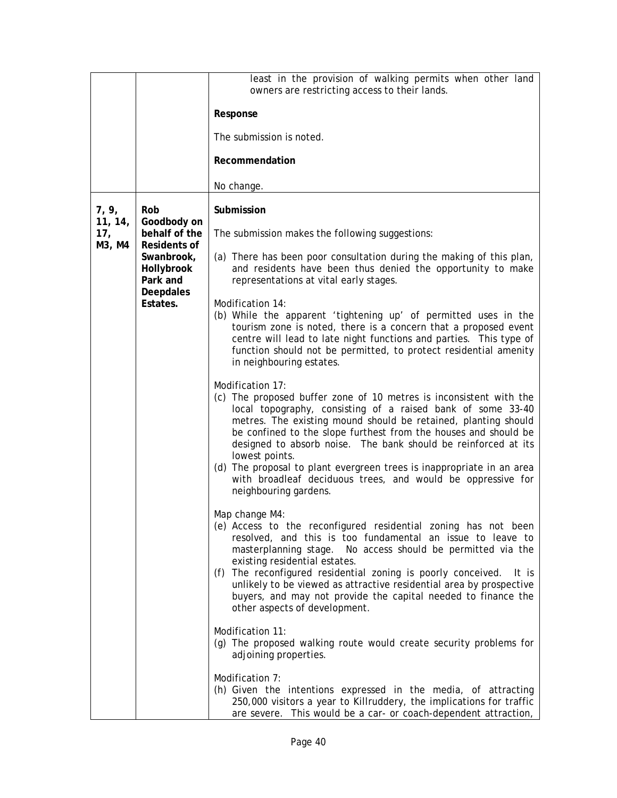|                  |                                                                                      | least in the provision of walking permits when other land<br>owners are restricting access to their lands.                                                                                                                                                                                                                                                                                                                                                                                                                                      |
|------------------|--------------------------------------------------------------------------------------|-------------------------------------------------------------------------------------------------------------------------------------------------------------------------------------------------------------------------------------------------------------------------------------------------------------------------------------------------------------------------------------------------------------------------------------------------------------------------------------------------------------------------------------------------|
|                  |                                                                                      | Response                                                                                                                                                                                                                                                                                                                                                                                                                                                                                                                                        |
|                  |                                                                                      | The submission is noted.                                                                                                                                                                                                                                                                                                                                                                                                                                                                                                                        |
|                  |                                                                                      | Recommendation                                                                                                                                                                                                                                                                                                                                                                                                                                                                                                                                  |
|                  |                                                                                      | No change.                                                                                                                                                                                                                                                                                                                                                                                                                                                                                                                                      |
| 7, 9,<br>11, 14, | Rob                                                                                  | Submission                                                                                                                                                                                                                                                                                                                                                                                                                                                                                                                                      |
| 17,              | Goodbody on<br>behalf of the<br>Residents of<br>Swanbrook,<br>Hollybrook<br>Park and | The submission makes the following suggestions:                                                                                                                                                                                                                                                                                                                                                                                                                                                                                                 |
| M3, M4           |                                                                                      | (a) There has been poor consultation during the making of this plan,<br>and residents have been thus denied the opportunity to make<br>representations at vital early stages.                                                                                                                                                                                                                                                                                                                                                                   |
|                  | <b>Deepdales</b><br>Estates.                                                         | Modification 14:<br>(b) While the apparent 'tightening up' of permitted uses in the<br>tourism zone is noted, there is a concern that a proposed event<br>centre will lead to late night functions and parties. This type of<br>function should not be permitted, to protect residential amenity<br>in neighbouring estates.                                                                                                                                                                                                                    |
|                  |                                                                                      | Modification 17:<br>(c) The proposed buffer zone of 10 metres is inconsistent with the<br>local topography, consisting of a raised bank of some 33-40<br>metres. The existing mound should be retained, planting should<br>be confined to the slope furthest from the houses and should be<br>designed to absorb noise. The bank should be reinforced at its<br>lowest points.<br>(d) The proposal to plant evergreen trees is inappropriate in an area<br>with broadleaf deciduous trees, and would be oppressive for<br>neighbouring gardens. |
|                  |                                                                                      | Map change M4:<br>(e) Access to the reconfigured residential zoning has not been<br>resolved, and this is too fundamental an issue to leave to<br>No access should be permitted via the<br>masterplanning stage.<br>existing residential estates.<br>(f) The reconfigured residential zoning is poorly conceived.<br>It is<br>unlikely to be viewed as attractive residential area by prospective<br>buyers, and may not provide the capital needed to finance the<br>other aspects of development.                                             |
|                  |                                                                                      | Modification 11:<br>(g) The proposed walking route would create security problems for<br>adjoining properties.                                                                                                                                                                                                                                                                                                                                                                                                                                  |
|                  |                                                                                      | Modification 7:<br>(h) Given the intentions expressed in the media, of attracting<br>250,000 visitors a year to Killruddery, the implications for traffic<br>are severe. This would be a car- or coach-dependent attraction,                                                                                                                                                                                                                                                                                                                    |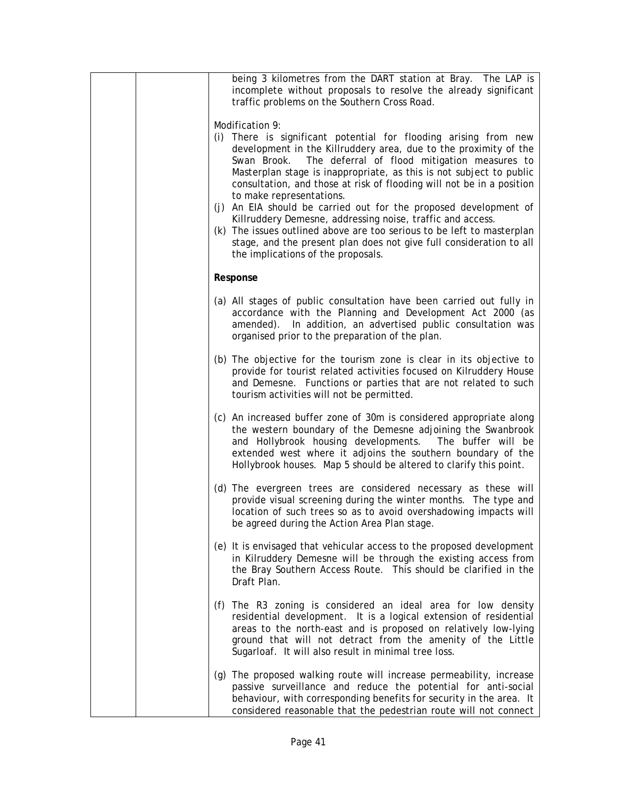| being 3 kilometres from the DART station at Bray. The LAP is<br>incomplete without proposals to resolve the already significant<br>traffic problems on the Southern Cross Road.                                                                                                                                                                                                                                                                                                                                                                                                                                                                                                                                          |
|--------------------------------------------------------------------------------------------------------------------------------------------------------------------------------------------------------------------------------------------------------------------------------------------------------------------------------------------------------------------------------------------------------------------------------------------------------------------------------------------------------------------------------------------------------------------------------------------------------------------------------------------------------------------------------------------------------------------------|
| Modification 9:<br>(i) There is significant potential for flooding arising from new<br>development in the Killruddery area, due to the proximity of the<br>Swan Brook. The deferral of flood mitigation measures to<br>Masterplan stage is inappropriate, as this is not subject to public<br>consultation, and those at risk of flooding will not be in a position<br>to make representations.<br>(j) An EIA should be carried out for the proposed development of<br>Killruddery Demesne, addressing noise, traffic and access.<br>(k) The issues outlined above are too serious to be left to masterplan<br>stage, and the present plan does not give full consideration to all<br>the implications of the proposals. |
| Response                                                                                                                                                                                                                                                                                                                                                                                                                                                                                                                                                                                                                                                                                                                 |
| (a) All stages of public consultation have been carried out fully in<br>accordance with the Planning and Development Act 2000 (as<br>amended). In addition, an advertised public consultation was<br>organised prior to the preparation of the plan.                                                                                                                                                                                                                                                                                                                                                                                                                                                                     |
| (b) The objective for the tourism zone is clear in its objective to<br>provide for tourist related activities focused on Kilruddery House<br>and Demesne. Functions or parties that are not related to such<br>tourism activities will not be permitted.                                                                                                                                                                                                                                                                                                                                                                                                                                                                 |
| (c) An increased buffer zone of 30m is considered appropriate along<br>the western boundary of the Demesne adjoining the Swanbrook<br>and Hollybrook housing developments. The buffer will be<br>extended west where it adjoins the southern boundary of the<br>Hollybrook houses. Map 5 should be altered to clarify this point.                                                                                                                                                                                                                                                                                                                                                                                        |
| (d) The evergreen trees are considered necessary as these will<br>provide visual screening during the winter months. The type and<br>location of such trees so as to avoid overshadowing impacts will<br>be agreed during the Action Area Plan stage.                                                                                                                                                                                                                                                                                                                                                                                                                                                                    |
| (e) It is envisaged that vehicular access to the proposed development<br>in Kilruddery Demesne will be through the existing access from<br>the Bray Southern Access Route. This should be clarified in the<br>Draft Plan.                                                                                                                                                                                                                                                                                                                                                                                                                                                                                                |
| (f) The R3 zoning is considered an ideal area for low density<br>residential development. It is a logical extension of residential<br>areas to the north-east and is proposed on relatively low-lying<br>ground that will not detract from the amenity of the Little<br>Sugarloaf. It will also result in minimal tree loss.                                                                                                                                                                                                                                                                                                                                                                                             |
| (g) The proposed walking route will increase permeability, increase<br>passive surveillance and reduce the potential for anti-social<br>behaviour, with corresponding benefits for security in the area. It<br>considered reasonable that the pedestrian route will not connect                                                                                                                                                                                                                                                                                                                                                                                                                                          |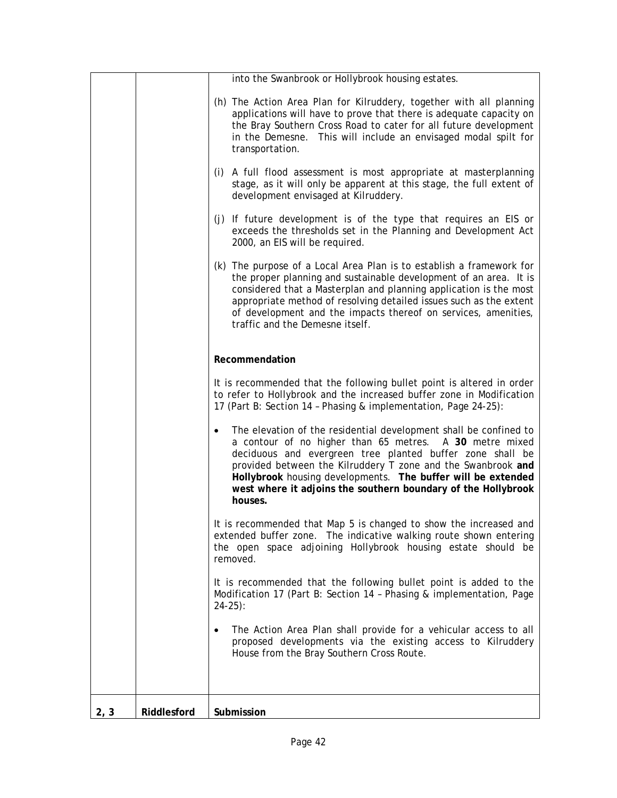|      |             | into the Swanbrook or Hollybrook housing estates.                                                                                                                                                                                                                                                                                                                                                     |
|------|-------------|-------------------------------------------------------------------------------------------------------------------------------------------------------------------------------------------------------------------------------------------------------------------------------------------------------------------------------------------------------------------------------------------------------|
|      |             | (h) The Action Area Plan for Kilruddery, together with all planning<br>applications will have to prove that there is adequate capacity on<br>the Bray Southern Cross Road to cater for all future development<br>in the Demesne. This will include an envisaged modal spilt for<br>transportation.                                                                                                    |
|      |             | (i) A full flood assessment is most appropriate at masterplanning<br>stage, as it will only be apparent at this stage, the full extent of<br>development envisaged at Kilruddery.                                                                                                                                                                                                                     |
|      |             | (j) If future development is of the type that requires an EIS or<br>exceeds the thresholds set in the Planning and Development Act<br>2000, an EIS will be required.                                                                                                                                                                                                                                  |
|      |             | (k) The purpose of a Local Area Plan is to establish a framework for<br>the proper planning and sustainable development of an area. It is<br>considered that a Masterplan and planning application is the most<br>appropriate method of resolving detailed issues such as the extent<br>of development and the impacts thereof on services, amenities,<br>traffic and the Demesne itself.             |
|      |             | Recommendation                                                                                                                                                                                                                                                                                                                                                                                        |
|      |             | It is recommended that the following bullet point is altered in order<br>to refer to Hollybrook and the increased buffer zone in Modification<br>17 (Part B: Section 14 - Phasing & implementation, Page 24-25):                                                                                                                                                                                      |
|      |             | The elevation of the residential development shall be confined to<br>a contour of no higher than 65 metres. A 30 metre mixed<br>deciduous and evergreen tree planted buffer zone shall be<br>provided between the Kilruddery T zone and the Swanbrook and<br>Hollybrook housing developments. The buffer will be extended<br>west where it adjoins the southern boundary of the Hollybrook<br>houses. |
|      |             | It is recommended that Map 5 is changed to show the increased and<br>extended buffer zone. The indicative walking route shown entering<br>the open space adjoining Hollybrook housing estate should be<br>removed.                                                                                                                                                                                    |
|      |             | It is recommended that the following bullet point is added to the<br>Modification 17 (Part B: Section 14 - Phasing & implementation, Page<br>$24-25$ :                                                                                                                                                                                                                                                |
|      |             | The Action Area Plan shall provide for a vehicular access to all<br>$\bullet$<br>proposed developments via the existing access to Kilruddery<br>House from the Bray Southern Cross Route.                                                                                                                                                                                                             |
|      |             |                                                                                                                                                                                                                                                                                                                                                                                                       |
| 2, 3 | Riddlesford | Submission                                                                                                                                                                                                                                                                                                                                                                                            |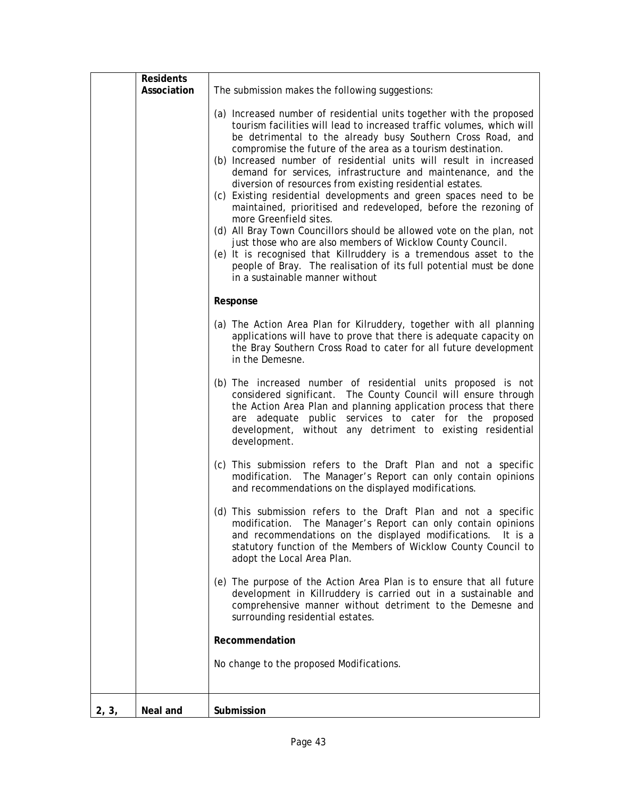|       | <b>Residents</b> |                                                                                                                                                                                                                                                                                                                                                                                                                                                                                                                                                                                                                                                                                                                                                                                                                                                                                                                                                                        |
|-------|------------------|------------------------------------------------------------------------------------------------------------------------------------------------------------------------------------------------------------------------------------------------------------------------------------------------------------------------------------------------------------------------------------------------------------------------------------------------------------------------------------------------------------------------------------------------------------------------------------------------------------------------------------------------------------------------------------------------------------------------------------------------------------------------------------------------------------------------------------------------------------------------------------------------------------------------------------------------------------------------|
|       | Association      | The submission makes the following suggestions:                                                                                                                                                                                                                                                                                                                                                                                                                                                                                                                                                                                                                                                                                                                                                                                                                                                                                                                        |
|       |                  | (a) Increased number of residential units together with the proposed<br>tourism facilities will lead to increased traffic volumes, which will<br>be detrimental to the already busy Southern Cross Road, and<br>compromise the future of the area as a tourism destination.<br>(b) Increased number of residential units will result in increased<br>demand for services, infrastructure and maintenance, and the<br>diversion of resources from existing residential estates.<br>(c) Existing residential developments and green spaces need to be<br>maintained, prioritised and redeveloped, before the rezoning of<br>more Greenfield sites.<br>(d) All Bray Town Councillors should be allowed vote on the plan, not<br>just those who are also members of Wicklow County Council.<br>(e) It is recognised that Killruddery is a tremendous asset to the<br>people of Bray. The realisation of its full potential must be done<br>in a sustainable manner without |
|       |                  | Response                                                                                                                                                                                                                                                                                                                                                                                                                                                                                                                                                                                                                                                                                                                                                                                                                                                                                                                                                               |
|       |                  | (a) The Action Area Plan for Kilruddery, together with all planning<br>applications will have to prove that there is adequate capacity on<br>the Bray Southern Cross Road to cater for all future development<br>in the Demesne.                                                                                                                                                                                                                                                                                                                                                                                                                                                                                                                                                                                                                                                                                                                                       |
|       |                  | (b) The increased number of residential units proposed is not<br>considered significant. The County Council will ensure through<br>the Action Area Plan and planning application process that there<br>are adequate public services to cater for the proposed<br>development, without any detriment to existing residential<br>development.                                                                                                                                                                                                                                                                                                                                                                                                                                                                                                                                                                                                                            |
|       |                  | (c) This submission refers to the Draft Plan and not a specific<br>modification. The Manager's Report can only contain opinions<br>and recommendations on the displayed modifications.                                                                                                                                                                                                                                                                                                                                                                                                                                                                                                                                                                                                                                                                                                                                                                                 |
|       |                  | (d) This submission refers to the Draft Plan and not a specific<br>modification. The Manager's Report can only contain opinions<br>and recommendations on the displayed modifications.<br>It is a<br>statutory function of the Members of Wicklow County Council to<br>adopt the Local Area Plan.                                                                                                                                                                                                                                                                                                                                                                                                                                                                                                                                                                                                                                                                      |
|       |                  | (e) The purpose of the Action Area Plan is to ensure that all future<br>development in Killruddery is carried out in a sustainable and<br>comprehensive manner without detriment to the Demesne and<br>surrounding residential estates.                                                                                                                                                                                                                                                                                                                                                                                                                                                                                                                                                                                                                                                                                                                                |
|       |                  | Recommendation                                                                                                                                                                                                                                                                                                                                                                                                                                                                                                                                                                                                                                                                                                                                                                                                                                                                                                                                                         |
|       |                  | No change to the proposed Modifications.                                                                                                                                                                                                                                                                                                                                                                                                                                                                                                                                                                                                                                                                                                                                                                                                                                                                                                                               |
| 2, 3, | Neal and         | Submission                                                                                                                                                                                                                                                                                                                                                                                                                                                                                                                                                                                                                                                                                                                                                                                                                                                                                                                                                             |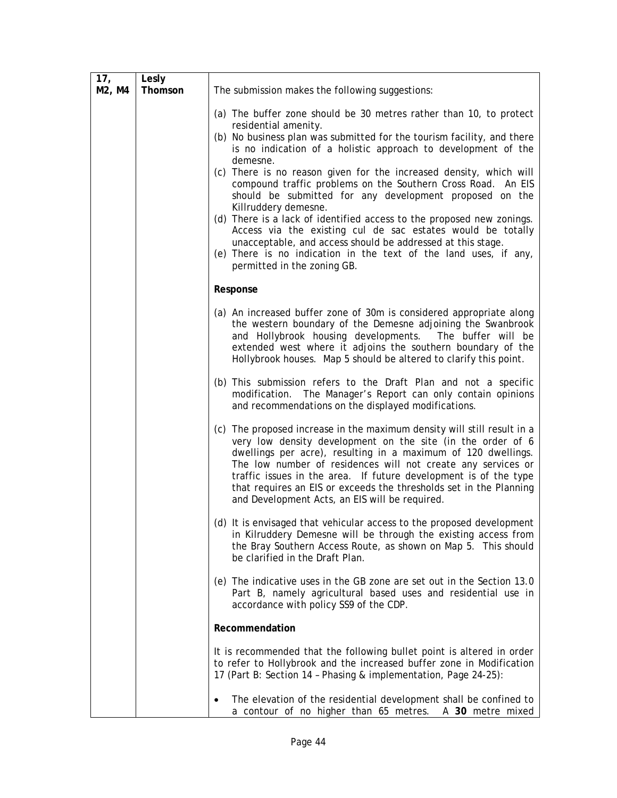| 17 <sub>1</sub><br>M2, M4 | Lesly<br>Thomson | The submission makes the following suggestions:                                                                                                                                                                                                                                                                                                                                                                                                                     |
|---------------------------|------------------|---------------------------------------------------------------------------------------------------------------------------------------------------------------------------------------------------------------------------------------------------------------------------------------------------------------------------------------------------------------------------------------------------------------------------------------------------------------------|
|                           |                  |                                                                                                                                                                                                                                                                                                                                                                                                                                                                     |
|                           |                  | (a) The buffer zone should be 30 metres rather than 10, to protect<br>residential amenity.                                                                                                                                                                                                                                                                                                                                                                          |
|                           |                  | (b) No business plan was submitted for the tourism facility, and there<br>is no indication of a holistic approach to development of the<br>demesne.                                                                                                                                                                                                                                                                                                                 |
|                           |                  | (c) There is no reason given for the increased density, which will<br>compound traffic problems on the Southern Cross Road. An EIS<br>should be submitted for any development proposed on the<br>Killruddery demesne.<br>(d) There is a lack of identified access to the proposed new zonings.<br>Access via the existing cul de sac estates would be totally                                                                                                       |
|                           |                  | unacceptable, and access should be addressed at this stage.<br>(e) There is no indication in the text of the land uses, if any,<br>permitted in the zoning GB.                                                                                                                                                                                                                                                                                                      |
|                           |                  | Response                                                                                                                                                                                                                                                                                                                                                                                                                                                            |
|                           |                  | (a) An increased buffer zone of 30m is considered appropriate along<br>the western boundary of the Demesne adjoining the Swanbrook<br>and Hollybrook housing developments. The buffer will be<br>extended west where it adjoins the southern boundary of the<br>Hollybrook houses. Map 5 should be altered to clarify this point.                                                                                                                                   |
|                           |                  | (b) This submission refers to the Draft Plan and not a specific<br>modification. The Manager's Report can only contain opinions<br>and recommendations on the displayed modifications.                                                                                                                                                                                                                                                                              |
|                           |                  | (c) The proposed increase in the maximum density will still result in a<br>very low density development on the site (in the order of 6<br>dwellings per acre), resulting in a maximum of 120 dwellings.<br>The low number of residences will not create any services or<br>traffic issues in the area. If future development is of the type<br>that requires an EIS or exceeds the thresholds set in the Planning<br>and Development Acts, an EIS will be required. |
|                           |                  | (d) It is envisaged that vehicular access to the proposed development<br>in Kilruddery Demesne will be through the existing access from<br>the Bray Southern Access Route, as shown on Map 5. This should<br>be clarified in the Draft Plan.                                                                                                                                                                                                                        |
|                           |                  | (e) The indicative uses in the GB zone are set out in the Section 13.0<br>Part B, namely agricultural based uses and residential use in<br>accordance with policy SS9 of the CDP.                                                                                                                                                                                                                                                                                   |
|                           |                  | Recommendation                                                                                                                                                                                                                                                                                                                                                                                                                                                      |
|                           |                  | It is recommended that the following bullet point is altered in order<br>to refer to Hollybrook and the increased buffer zone in Modification<br>17 (Part B: Section 14 - Phasing & implementation, Page 24-25):                                                                                                                                                                                                                                                    |
|                           |                  | The elevation of the residential development shall be confined to<br>$\bullet$<br>a contour of no higher than 65 metres. A 30 metre mixed                                                                                                                                                                                                                                                                                                                           |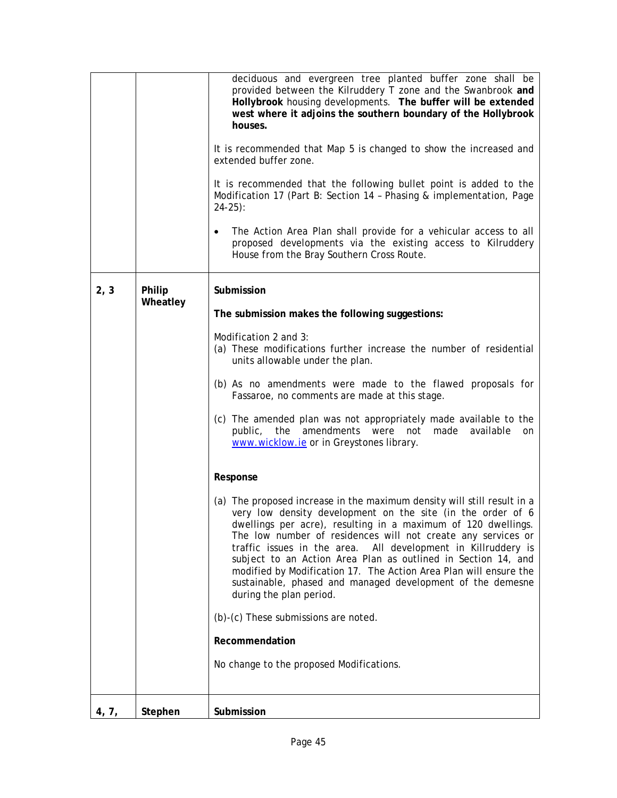|       |          | deciduous and evergreen tree planted buffer zone shall be<br>provided between the Kilruddery T zone and the Swanbrook and<br>Hollybrook housing developments. The buffer will be extended<br>west where it adjoins the southern boundary of the Hollybrook<br>houses.<br>It is recommended that Map 5 is changed to show the increased and<br>extended buffer zone.<br>It is recommended that the following bullet point is added to the<br>Modification 17 (Part B: Section 14 - Phasing & implementation, Page<br>$24-25$ :<br>The Action Area Plan shall provide for a vehicular access to all<br>$\bullet$<br>proposed developments via the existing access to Kilruddery<br>House from the Bray Southern Cross Route. |
|-------|----------|----------------------------------------------------------------------------------------------------------------------------------------------------------------------------------------------------------------------------------------------------------------------------------------------------------------------------------------------------------------------------------------------------------------------------------------------------------------------------------------------------------------------------------------------------------------------------------------------------------------------------------------------------------------------------------------------------------------------------|
| 2, 3  | Philip   | Submission                                                                                                                                                                                                                                                                                                                                                                                                                                                                                                                                                                                                                                                                                                                 |
|       | Wheatley | The submission makes the following suggestions:                                                                                                                                                                                                                                                                                                                                                                                                                                                                                                                                                                                                                                                                            |
|       |          | Modification 2 and 3:                                                                                                                                                                                                                                                                                                                                                                                                                                                                                                                                                                                                                                                                                                      |
|       |          | (a) These modifications further increase the number of residential<br>units allowable under the plan.                                                                                                                                                                                                                                                                                                                                                                                                                                                                                                                                                                                                                      |
|       |          | (b) As no amendments were made to the flawed proposals for<br>Fassaroe, no comments are made at this stage.                                                                                                                                                                                                                                                                                                                                                                                                                                                                                                                                                                                                                |
|       |          | (c) The amended plan was not appropriately made available to the<br>the amendments were<br>not made available<br>public,<br>on<br>www.wicklow.ie or in Greystones library.                                                                                                                                                                                                                                                                                                                                                                                                                                                                                                                                                 |
|       |          | Response                                                                                                                                                                                                                                                                                                                                                                                                                                                                                                                                                                                                                                                                                                                   |
|       |          | (a) The proposed increase in the maximum density will still result in a<br>very low density development on the site (in the order of 6<br>dwellings per acre), resulting in a maximum of 120 dwellings.<br>The low number of residences will not create any services or<br>traffic issues in the area. All development in Killruddery is<br>subject to an Action Area Plan as outlined in Section 14, and<br>modified by Modification 17. The Action Area Plan will ensure the<br>sustainable, phased and managed development of the demesne<br>during the plan period.                                                                                                                                                    |
|       |          | (b)-(c) These submissions are noted.                                                                                                                                                                                                                                                                                                                                                                                                                                                                                                                                                                                                                                                                                       |
|       |          | Recommendation                                                                                                                                                                                                                                                                                                                                                                                                                                                                                                                                                                                                                                                                                                             |
|       |          | No change to the proposed Modifications.                                                                                                                                                                                                                                                                                                                                                                                                                                                                                                                                                                                                                                                                                   |
| 4, 7, | Stephen  | Submission                                                                                                                                                                                                                                                                                                                                                                                                                                                                                                                                                                                                                                                                                                                 |